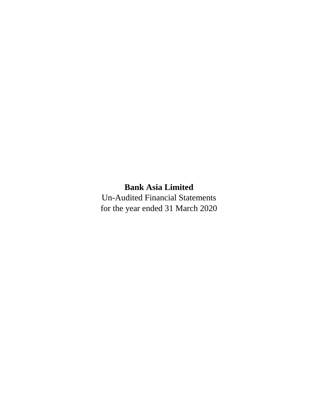# **Bank Asia Limited**

Un-Audited Financial Statements for the year ended 31 March 2020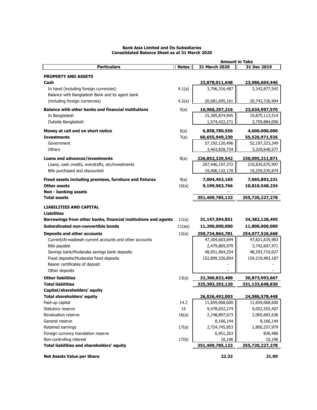|                                                                |              | <b>Amount in Taka</b> |                 |
|----------------------------------------------------------------|--------------|-----------------------|-----------------|
| <b>Particulars</b>                                             | <b>Notes</b> | 31 March 2020         | 31 Dec 2019     |
| <b>PROPERTY AND ASSETS</b>                                     |              |                       |                 |
| Cash                                                           |              | 23,878,011,648        | 23,986,604,446  |
| In hand (including foreign currencies)                         |              | 3,796,316,487         | 3,242,877,542   |
| Balance with Bangladesh Bank and its agent bank                | 4.1(a)       |                       |                 |
|                                                                |              |                       |                 |
| (including foreign currencies)                                 | 4.2(a)       | 20,081,695,161        | 20,743,726,904  |
| <b>Balance with other banks and financial institutions</b>     | 5(a)         | 16,960,297,216        | 23,634,997,570  |
| In Bangladesh                                                  |              | 15,385,874,945        | 19,875,113,514  |
| Outside Bangladesh                                             |              | 1,574,422,271         | 3,759,884,056   |
| Money at call and on short notice                              | 6(a)         | 6,858,780,556         | 4,600,000,000   |
| <b>Investments</b>                                             | 7(a)         | 60,655,949,230        | 55,526,971,926  |
| Government                                                     |              | 57,192,120,496        | 52,197,323,349  |
| Others                                                         |              | 3,463,828,734         | 3,329,648,577   |
|                                                                |              |                       |                 |
| Loans and advances/investments                                 | 8(a)         | 226,852,329,542       | 230,095,211,871 |
| Loans, cash credits, overdrafts, etc/investments               |              | 207,446,197,372       | 210,835,675,997 |
| Bills purchased and discounted                                 |              | 19,406,132,170        | 19,259,535,874  |
| Fixed assets including premises, furniture and fixtures        | 9(a)         | 7,004,453,165         | 7,065,893,231   |
| <b>Other assets</b>                                            | 10(a)        | 9,199,963,766         | 10,810,548,234  |
| Non - banking assets                                           |              |                       |                 |
| <b>Total assets</b>                                            |              | 351,409,785,123       | 355,720,227,278 |
|                                                                |              |                       |                 |
| <b>LIABILITIES AND CAPITAL</b>                                 |              |                       |                 |
| <b>Liabilities</b>                                             |              |                       |                 |
| Borrowings from other banks, financial institutions and agents | 11(a)        | 31,147,594,851        | 34,382,128,495  |
| Subordinated non-convertible bonds                             | 11(aa)       | 11,200,000,000        | 11,800,000,000  |
| <b>Deposits and other accounts</b>                             | 12(a)        | 250,734,864,781       | 254,077,526,668 |
| Current/AI-wadeeah current accounts and other accounts         |              | 47,304,603,694        | 47,821,635,983  |
| Bills payable                                                  |              | 2,479,869,979         | 3,742,697,471   |
| Savings bank/Mudaraba savings bank deposits                    |              | 48,051,064,254        | 48,293,710,027  |
| Fixed deposits/Mudaraba fixed deposits                         |              | 152,899,326,854       | 154,219,483,187 |
| Bearer certificates of deposit                                 |              |                       |                 |
| Other deposits                                                 |              |                       |                 |
| <b>Other liabilities</b>                                       | 13(a)        | 32,300,833,488        | 30,873,993,667  |
| <b>Total liabilities</b>                                       |              | 325,383,293,120       | 331,133,648,830 |
| Capital/shareholders' equity                                   |              |                       |                 |
| <b>Total shareholders' equity</b>                              |              | 26,026,492,003        | 24,586,578,448  |
| Paid-up capital                                                | 14.2         | 11,659,068,600        | 11,659,068,600  |
| Statutory reserve                                              | 15           | 9,478,652,274         | 9,052,555,407   |
| Revaluation reserve                                            | 16(a)        | 2,148,897,673         | 2,065,683,636   |
| General reserve                                                |              | 8,166,144             | 8,166,144       |
| Retained earnings                                              | 17(a)        | 2,724,745,853         | 1,800,257,979   |
| Foreign currency translation reserve                           |              | 6,951,263             | 836,486         |
| Non-controlling interest                                       | 17(b)        | 10,196                | 10,196          |
| Total liabilities and shareholders' equity                     |              | 351,409,785,123       | 355,720,227,278 |
|                                                                |              |                       |                 |
| <b>Net Assets Value per Share</b>                              |              | 22.32                 | 21.09           |
|                                                                |              |                       |                 |

# **Bank Asia Limited and Its Subsidiaries Consolidated Balance Sheet as at 31 March 2020**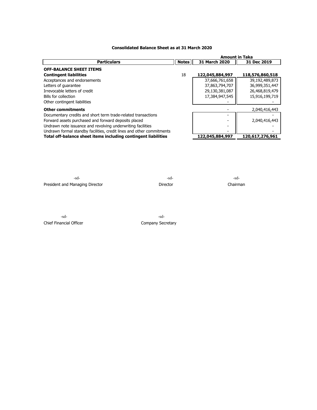# **Consolidated Balance Sheet as at 31 March 2020**

|                                                                       |              | <b>Amount in Taka</b> |                 |  |
|-----------------------------------------------------------------------|--------------|-----------------------|-----------------|--|
| <b>Particulars</b>                                                    | <b>Notes</b> | 31 March 2020         | 31 Dec 2019     |  |
| <b>OFF-BALANCE SHEET ITEMS</b>                                        |              |                       |                 |  |
| <b>Contingent liabilities</b>                                         | 18           | 122,045,884,997       | 118,576,860,518 |  |
| Acceptances and endorsements                                          |              | 37,666,761,658        | 39,192,489,873  |  |
| Letters of quarantee                                                  |              | 37,863,794,707        | 36,999,351,447  |  |
| Irrevocable letters of credit                                         |              | 29,130,381,087        | 26,468,819,479  |  |
| Bills for collection                                                  |              | 17,384,947,545        | 15,916,199,719  |  |
| Other contingent liabilities                                          |              |                       |                 |  |
| <b>Other commitments</b>                                              |              |                       | 2,040,416,443   |  |
| Documentary credits and short term trade-related transactions         |              |                       |                 |  |
| Forward assets purchased and forward deposits placed                  |              |                       | 2,040,416,443   |  |
| Undrawn note issuance and revolving underwriting facilities           |              |                       |                 |  |
| Undrawn formal standby facilities, credit lines and other commitments |              |                       |                 |  |
| Total off-balance sheet items including contingent liabilities        |              | 122,045,884,997       | 120,617,276,961 |  |

-sd- -sd- -sd-President and Managing Director **Director** Director Director Chairman

-sd- -sd-Chief Financial Officer Chief Financial Officer Company Secretary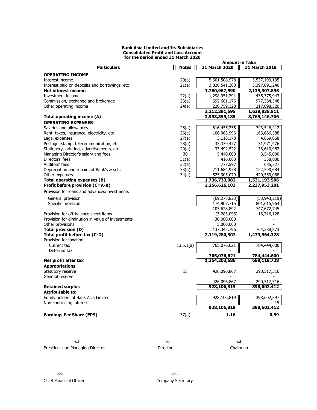#### **Bank Asia Limited and Its Subsidiaries Consolidated Profit and Loss Account for the period ended 31 March 2020**

|                                                  | <b>Amount in Taka</b> |                            |                            |  |
|--------------------------------------------------|-----------------------|----------------------------|----------------------------|--|
| <b>Particulars</b>                               | <b>Notes</b>          | 31 March 2020              | 31 March 2019              |  |
| <b>OPERATING INCOME</b>                          |                       |                            |                            |  |
| Interest income                                  | 20(a)                 | 5,601,508,978              | 5,537,199,135              |  |
| Interest paid on deposits and borrowings, etc    | 21(a)                 | 3,820,541,388              | 3,397,891,240              |  |
| <b>Net interest income</b>                       |                       | 1,780,967,590              | 2,139,307,895              |  |
| Investment income                                | 22(a)                 | 1,298,951,291              | 435,375,943                |  |
| Commission, exchange and brokerage               | 23(a)                 | 692,681,176                | 977,364,348                |  |
| Other operating income                           | 24(a)                 | 220,759,128                | 217,098,520                |  |
|                                                  |                       | 2,212,391,595              | 1,629,838,811              |  |
| Total operating income (A)                       |                       | 3,993,359,185              | 3,769,146,706              |  |
| <b>OPERATING EXPENSES</b>                        |                       |                            |                            |  |
| Salaries and allowances                          | 25(a)                 | 816,455,255                | 743,546,412                |  |
| Rent, taxes, insurance, electricity, etc.        | 26(a)                 | 106,063,996                | 166,666,588                |  |
| Legal expenses                                   | 27(a)                 | 3,118,178                  | 4,869,068                  |  |
| Postage, stamp, telecommunication, etc           | 28(a)                 | 33,379,477                 | 31,971,476                 |  |
| Stationery, printing, advertisements, etc        | 29(a)                 | 33,492,522                 | 36,610,982                 |  |
| Managing Director's salary and fees              | 30                    | 5,440,000                  | 3,545,000                  |  |
| Directors' fees                                  | 31(a)                 | 416,000                    | 358,000                    |  |
| Auditors' fees                                   | 32(a)                 | 777,597                    | 685,227                    |  |
| Depreciation and repairs of Bank's assets        | 33(a)                 | 211,684,978                | 122,390,684                |  |
| Other expenses                                   | 34(a)                 | 525,905,079                | 420,550,068                |  |
| Total operating expenses (B)                     |                       | 1,736,733,082              | 1,531,193,506              |  |
| Profit before provision (C=A-B)                  |                       | 2,256,626,103              | 2,237,953,201              |  |
| Provision for loans and advances/investments     |                       |                            |                            |  |
|                                                  |                       |                            |                            |  |
| General provision                                |                       | (69, 278, 823)             | (53, 943, 219)             |  |
| Specific provision                               |                       | 174,907,715                | 801,615,964                |  |
|                                                  |                       | 105,628,892                | 747,672,745                |  |
| Provision for off-balance sheet items            |                       | (3,283,096)                | 16,716,128                 |  |
| Provision for diminution in value of investments |                       | 30,000,000                 |                            |  |
| Other provisions                                 |                       | 5,000,000                  |                            |  |
| <b>Total provision (D)</b>                       |                       | 137,345,796                | 764,388,873                |  |
| Total profit before tax (C-D)                    |                       | 2,119,280,307              | 1,473,564,328              |  |
| Provision for taxation                           |                       |                            |                            |  |
| Current tax                                      | 13.5.1(a)             | 765,076,621                | 784,444,600                |  |
| Deferred tax                                     |                       |                            |                            |  |
|                                                  |                       | 765,076,621                | 784,444,600                |  |
| Net profit after tax                             |                       | 1,354,203,686              | 689,119,728                |  |
| <b>Appropriations</b>                            |                       |                            |                            |  |
| Statutory reserve                                | 15                    | 426,096,867                | 290,517,316                |  |
| General reserve                                  |                       |                            |                            |  |
| <b>Retained surplus</b>                          |                       | 426,096,867<br>928,106,819 | 290,517,316<br>398,602,412 |  |
|                                                  |                       |                            |                            |  |
| <b>Attributable to:</b>                          |                       |                            |                            |  |
| Equity holders of Bank Asia Limited              |                       | 928,106,819                | 398,602,397                |  |
| Non-controlling interest                         |                       | 928,106,819                | 15<br>398,602,412          |  |
|                                                  |                       |                            |                            |  |
| <b>Earnings Per Share (EPS)</b>                  | 37(a)                 | 1.16                       | 0.59                       |  |
|                                                  |                       |                            |                            |  |

| -sd-                            | -sd-     | -sd-     |
|---------------------------------|----------|----------|
| President and Managing Director | Director | Chairman |

-sd- -sd-Chief Financial Officer Company Secretary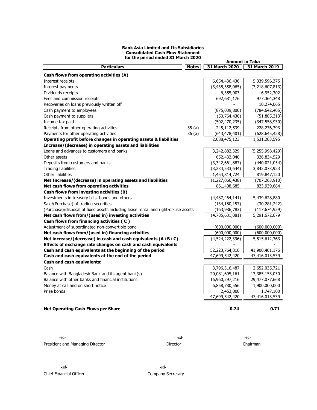#### **Bank Asia Limited and Its Subsidiaries Consolidated Cash Flow Statement for the period ended 31 March 2020**

| <b>Particulars</b>                                                                 | <b>Notes</b> | 31 March 2020      | 31 March 2019      |
|------------------------------------------------------------------------------------|--------------|--------------------|--------------------|
| Cash flows from operating activities (A)                                           |              |                    |                    |
| Interest receipts                                                                  |              | 6,654,436,436      | 5,339,596,375      |
| Interest payments                                                                  |              | (3,438,358,065)    | (3, 218, 607, 813) |
| Dividends receipts                                                                 |              | 6,355,903          | 6,952,302          |
| Fees and commission receipts                                                       |              | 692,681,176        | 977,364,348        |
| Recoveries on loans previously written off                                         |              |                    | 10,274,065         |
| Cash payment to employees                                                          |              | (875,039,800)      | (784, 642, 405)    |
| Cash payment to suppliers                                                          |              | (50, 764, 430)     | (51, 805, 313)     |
| Income tax paid                                                                    |              | (502, 470, 235)    | (347, 558, 930)    |
| Receipts from other operating activities                                           | 35(a)        | 245,112,539        | 228,276,393        |
| Payments for other operating activities                                            | 36(a)        | (643, 478, 401)    | (628, 645, 428)    |
| Operating profit before changes in operating assets & liabilities                  |              | 2,088,475,123      | 1,531,203,595      |
| Increase/(decrease) in operating assets and liabilities                            |              |                    |                    |
| Loans and advances to customers and banks                                          |              | 3,242,882,329      | (5, 255, 998, 429) |
| Other assets                                                                       |              | 652,432,040        | 326,834,529        |
| Deposits from customers and banks                                                  |              | (3,342,661,887)    | (440, 021, 054)    |
| <b>Trading liabilities</b>                                                         |              | (3,234,533,644)    | 3,842,073,923      |
| Other liabilities                                                                  |              | 1,454,814,724      | 819,847,120        |
| Net Increase/(decrease) in operating assets and liabilities                        |              | (1, 227, 066, 438) | (707, 263, 910)    |
| Net cash flows from operating activities                                           |              | 861,408,685        | 823,939,684        |
| Cash flows from investing activities (B)                                           |              |                    |                    |
| Investments in treasury bills, bonds and others                                    |              | (4,487,464,141)    | 5,439,628,880      |
| Sale/(Purchase) of trading securities                                              |              | (134, 180, 157)    | (30, 281, 242)     |
| (Purchase)/disposal of fixed assets including lease rental and right-of-use assets |              | (163, 986, 783)    | (117, 674, 959)    |
| Net cash flows from/(used in) investing activities                                 |              | (4,785,631,081)    | 5,291,672,679      |
| Cash flows from financing activities (C)                                           |              |                    |                    |
| Adjustment of subordinated non-convertible bond                                    |              | (600,000,000)      | (600,000,000)      |
| Net cash flows from/(used in) financing activities                                 |              | (600,000,000)      | (600,000,000)      |
| Net increase/(decrease) in cash and cash equivalents (A+B+C)                       |              | (4,524,222,396)    | 5,515,612,363      |
| Effects of exchange rate changes on cash and cash equivalents                      |              |                    |                    |
| Cash and cash equivalents at the beginning of the period                           |              | 52,223,764,816     | 41,900,401,176     |
| Cash and cash equivalents at the end of the period                                 |              | 47,699,542,420     | 47,416,013,539     |
| Cash and cash equivalents:                                                         |              |                    |                    |
| Cash                                                                               |              | 3,796,316,487      | 2,652,035,721      |
| Balance with Bangladesh Bank and its agent bank(s)                                 |              | 20,081,695,161     | 13,385,153,050     |
| Balance with other banks and financial institutions                                |              | 16,960,297,216     | 29,477,077,668     |
| Money at call and on short notice                                                  |              | 6,858,780,556      | 1,900,000,000      |
| Prize bonds                                                                        |              | 2,453,000          | 1,747,100          |
|                                                                                    |              | 47,699,542,420     | 47,416,013,539     |
| Net Operating Cash Flows per Share                                                 |              | 0.74               | 0.71               |
|                                                                                    |              |                    |                    |

-sd- -sd- -sd-President and Managing Director **Chairman** Director Director Director Chairman

**Amount in Taka**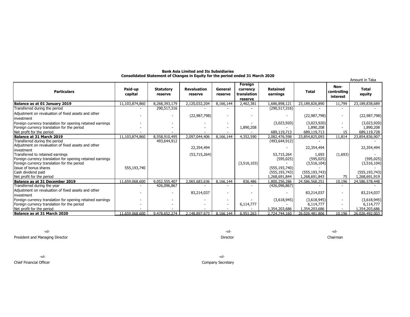|                                                                                                    |                    |                             |                               |                    |                                               |                                    |                                | Amount in Taka                  |                                |
|----------------------------------------------------------------------------------------------------|--------------------|-----------------------------|-------------------------------|--------------------|-----------------------------------------------|------------------------------------|--------------------------------|---------------------------------|--------------------------------|
| <b>Particulars</b>                                                                                 | Paid-up<br>capital | <b>Statutory</b><br>reserve | <b>Revaluation</b><br>reserve | General<br>reserve | Foreign<br>currency<br>translation<br>reserve | Retained<br>earnings               | <b>Total</b>                   | Non-<br>controlling<br>interest | <b>Total</b><br>equity         |
| Balance as at 01 January 2019                                                                      | 11,103,874,860     | 8,268,393,179               | 2,120,032,204                 | 8,166,144          | 2,462,381                                     | 1,686,898,121                      | 23,189,826,890                 | 11,799                          | 23,189,838,689                 |
| Transferred during the period                                                                      |                    | 290,517,316                 |                               |                    |                                               | (290, 517, 316)                    |                                |                                 |                                |
| Adjustment on revaluation of fixed assets and other<br>investment                                  |                    |                             | (22, 987, 798)                |                    |                                               |                                    | (22,987,798)                   |                                 | (22, 987, 798)                 |
| Foreign currency translation for opening retained earnings                                         |                    |                             |                               |                    |                                               | (3,023,920)                        | (3,023,920)                    |                                 | (3,023,920)                    |
| Foreign currency translation for the period                                                        |                    |                             |                               |                    | 1,890,208                                     |                                    | 1,890,208                      |                                 | 1,890,208                      |
| Net profit for the period                                                                          |                    |                             |                               |                    |                                               | 689,119,713                        | 689,119,713                    | 15                              | 689,119,728                    |
| Balance at 31 March 2019                                                                           | 11,103,874,860     | 8,558,910,495               | 2,097,044,406                 | 8,166,144          | 4,352,590                                     | 2,082,476,598                      | 23,854,825,093                 | 11,814                          | 23,854,836,907                 |
| Transferred during the period<br>Adjustment on revaluation of fixed assets and other<br>investment |                    | 493,644,912                 | 22,354,494                    |                    |                                               | (493, 644, 912)                    | 22,354,494                     |                                 | 22,354,494                     |
| Transferred to retained earnings<br>Foreign currency translation for opening retained earnings     |                    |                             | (53,715,264)                  |                    |                                               | 53,715,264<br>(595, 025)           | 1,693<br>(595, 025)            | (1,693)                         | (595, 025)                     |
| Foreign currency translation for the period<br>Issue of bonus shares<br>Cash dividend paid         | 555,193,740        |                             |                               |                    | (3,516,103)                                   | (555, 193, 740)<br>(555, 193, 743) | (3,516,104)<br>(555, 193, 743) |                                 | (3,516,104)<br>(555, 193, 743) |
| Net profit for the period                                                                          |                    |                             |                               |                    |                                               | 1,268,691,844                      | 1,268,691,843                  | 75                              | 1,268,691,919                  |
| <b>Balance as at 31 December 2019</b>                                                              | 11,659,068,600     | 9,052,555,407               | 2,065,683,636                 | 8,166,144          | 836,486                                       | 1,800,256,286                      | 24,586,568,251                 | 10,196                          | 24,586,578,448                 |
| Transferred during the year                                                                        |                    | 426,096,867                 |                               |                    |                                               | (426,096,867)                      |                                |                                 |                                |
| Adjustment on revaluation of fixed assets and other<br>investment                                  |                    |                             | 83,214,037                    |                    |                                               |                                    | 83,214,037                     |                                 | 83,214,037                     |
| Foreign currency translation for opening retained earnings                                         |                    |                             |                               |                    |                                               | (3,618,945)                        | (3,618,945)                    |                                 | (3,618,945)                    |
| Foreign currency translation for the period                                                        |                    |                             |                               |                    | 6,114,777                                     |                                    | 6,114,777                      |                                 | 6,114,777                      |
| Net profit for the period                                                                          |                    |                             |                               |                    |                                               | 1,354,203,686                      | 1,354,203,686                  |                                 | 1,354,203,686                  |
| Balance as at 31 March 2020                                                                        | 11.659.068.600     | 9,478,652,274               | 2.148.897.673                 | 8.166.144          | 6,951,263                                     | 2.724.744.160                      | 26.026.481.806                 | 10.196                          | 26.026.492.003                 |

#### **Bank Asia Limited and Its Subsidiaries Consolidated Statement of Changes in Equity for the period ended 31 March 2020**

President and Managing Director Chairman

Chief Financial Officer Company Secretary

-sd- -sd- -sd-

-sd- -sd-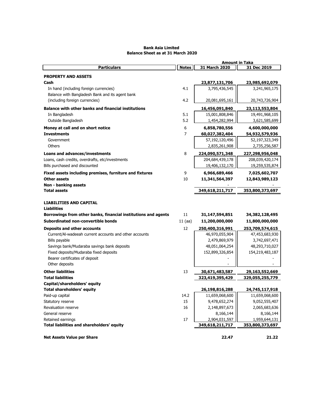# **Bank Asia Limited Balance Sheet as at 31 March 2020**

|                                                                 | <b>Amount in Taka</b> |                                  |                                  |  |
|-----------------------------------------------------------------|-----------------------|----------------------------------|----------------------------------|--|
| <b>Particulars</b>                                              | <b>Notes</b>          | 31 March 2020                    | 31 Dec 2019                      |  |
| <b>PROPERTY AND ASSETS</b>                                      |                       |                                  |                                  |  |
| Cash                                                            |                       | 23,877,131,706                   | 23,985,692,079                   |  |
| In hand (including foreign currencies)                          | 4.1                   | 3,795,436,545                    | 3,241,965,175                    |  |
| Balance with Bangladesh Bank and its agent bank                 |                       |                                  |                                  |  |
| (including foreign currencies)                                  | 4.2                   | 20,081,695,161                   | 20,743,726,904                   |  |
| <b>Balance with other banks and financial institutions</b>      |                       | 16,456,091,840                   | 23,113,553,804                   |  |
| In Bangladesh                                                   | 5.1                   | 15,001,808,846                   | 19,491,968,105                   |  |
| Outside Bangladesh                                              | 5.2                   | 1,454,282,994                    | 3,621,585,699                    |  |
| Money at call and on short notice                               | 6                     | 6,858,780,556                    | 4,600,000,000                    |  |
| <b>Investments</b>                                              | 7                     | 60,027,382,404                   | 54,932,579,936                   |  |
| Government                                                      |                       | 57,192,120,496                   | 52,197,323,349                   |  |
| Others                                                          |                       | 2,835,261,908                    | 2,735,256,587                    |  |
| <b>Loans and advances/investments</b>                           | 8                     | 224,090,571,348                  | 227,298,956,048                  |  |
| Loans, cash credits, overdrafts, etc/investments                |                       | 204,684,439,178                  | 208,039,420,174                  |  |
| Bills purchased and discounted                                  |                       | 19,406,132,170                   | 19,259,535,874                   |  |
| Fixed assets including premises, furniture and fixtures         | 9                     | 6,966,689,466                    | 7,025,602,707                    |  |
| <b>Other assets</b>                                             | 10                    | 11,341,564,397                   | 12,843,989,123                   |  |
| Non - banking assets                                            |                       |                                  |                                  |  |
| <b>Total assets</b>                                             |                       | 349,618,211,717                  | 353,800,373,697                  |  |
|                                                                 |                       |                                  |                                  |  |
| <b>LIABILITIES AND CAPITAL</b>                                  |                       |                                  |                                  |  |
| <b>Liabilities</b>                                              |                       |                                  |                                  |  |
| Borrowings from other banks, financial institutions and agents  | 11                    | 31,147,594,851                   | 34,382,128,495                   |  |
| Subordinated non-convertible bonds                              | $11$ (aa)             | 11,200,000,000                   | 11,800,000,000                   |  |
| Deposits and other accounts                                     | 12                    | 250,400,316,991                  | 253,709,574,615                  |  |
| Current/Al-wadeeah current accounts and other accounts          |                       | 46,970,055,904                   | 47,453,683,930                   |  |
| Bills payable                                                   |                       | 2,479,869,979                    | 3,742,697,471                    |  |
| Savings bank/Mudaraba savings bank deposits                     |                       | 48,051,064,254                   | 48,293,710,027                   |  |
| Fixed deposits/Mudaraba fixed deposits                          |                       | 152,899,326,854                  | 154,219,483,187                  |  |
| Bearer certificates of deposit                                  |                       |                                  |                                  |  |
| Other deposits                                                  |                       |                                  |                                  |  |
| <b>Other liabilities</b>                                        | 13                    | 30,671,483,587                   | 29,163,552,669                   |  |
| <b>Total liabilities</b>                                        |                       | 323,419,395,429                  | 329,055,255,779                  |  |
| Capital/shareholders' equity                                    |                       |                                  |                                  |  |
| Total shareholders' equity                                      |                       | 26,198,816,288                   | 24,745,117,918                   |  |
| Paid-up capital                                                 | 14.2                  | 11,659,068,600                   | 11,659,068,600                   |  |
| Statutory reserve                                               | 15                    | 9,478,652,274                    | 9,052,555,407                    |  |
| Revaluation reserve                                             | 16                    | 2,148,897,673                    | 2,065,683,636                    |  |
| General reserve                                                 |                       | 8,166,144                        | 8,166,144                        |  |
| Retained earnings<br>Total liabilities and shareholders' equity | 17                    | 2,904,031,597<br>349,618,211,717 | 1,959,644,131<br>353,800,373,697 |  |
|                                                                 |                       |                                  |                                  |  |
| <b>Net Assets Value per Share</b>                               |                       | 22.47                            | 21.22                            |  |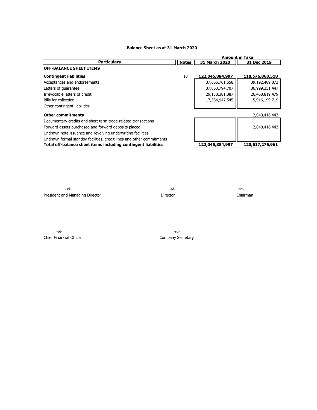# **Balance Sheet as at 31 March 2020**

|                                                                       |              | <b>Amount in Taka</b>    |                 |
|-----------------------------------------------------------------------|--------------|--------------------------|-----------------|
| <b>Particulars</b>                                                    | <b>Notes</b> | 31 March 2020            | 31 Dec 2019     |
| <b>OFF-BALANCE SHEET ITEMS</b>                                        |              |                          |                 |
| <b>Contingent liabilities</b>                                         | 18           | 122,045,884,997          | 118,576,860,518 |
| Acceptances and endorsements                                          |              | 37,666,761,658           | 39,192,489,873  |
| Letters of guarantee                                                  |              | 37,863,794,707           | 36,999,351,447  |
| Irrevocable letters of credit                                         |              | 29,130,381,087           | 26,468,819,479  |
| Bills for collection                                                  |              | 17,384,947,545           | 15,916,199,719  |
| Other contingent liabilities                                          |              |                          |                 |
| <b>Other commitments</b>                                              |              |                          | 2,040,416,443   |
| Documentary credits and short term trade-related transactions         |              |                          |                 |
| Forward assets purchased and forward deposits placed                  |              | $\overline{\phantom{0}}$ | 2,040,416,443   |
| Undrawn note issuance and revolving underwriting facilities           |              |                          |                 |
| Undrawn formal standby facilities, credit lines and other commitments |              |                          |                 |
| Total off-balance sheet items including contingent liabilities        |              | 122,045,884,997          | 120,617,276,961 |

-sd- -sd- -sd-President and Managing Director **Director** Director **Director** Director Chairman

-sd- -sd-Chief Financial Officer Company Secretary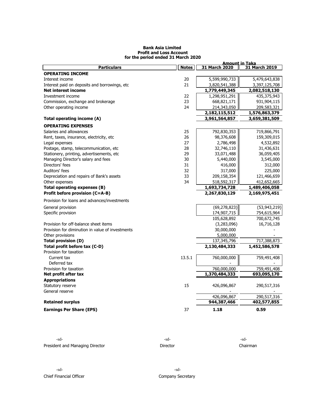#### **Bank Asia Limited Profit and Loss Account for the period ended 31 March 2020**

|                                                  |              | <b>Amount in Taka</b> |                |  |  |
|--------------------------------------------------|--------------|-----------------------|----------------|--|--|
| <b>Particulars</b>                               | <b>Notes</b> | 31 March 2020         | 31 March 2019  |  |  |
| <b>OPERATING INCOME</b>                          |              |                       |                |  |  |
| Interest income                                  | 20           | 5,599,990,733         | 5,479,643,838  |  |  |
| Interest paid on deposits and borrowings, etc.   | 21           | 3,820,541,388         | 3,397,125,708  |  |  |
| <b>Net interest income</b>                       |              | 1,779,449,345         | 2,082,518,130  |  |  |
| Investment income                                | 22           | 1,298,951,291         | 435,375,943    |  |  |
| Commission, exchange and brokerage               | 23           | 668,821,171           | 931,904,115    |  |  |
| Other operating income                           | 24           | 214,343,050           | 209,583,321    |  |  |
|                                                  |              | 2,182,115,512         | 1,576,863,379  |  |  |
| Total operating income (A)                       |              | 3,961,564,857         | 3,659,381,509  |  |  |
| <b>OPERATING EXPENSES</b>                        |              |                       |                |  |  |
| Salaries and allowances                          | 25           | 792,830,353           | 719,866,791    |  |  |
| Rent, taxes, insurance, electricity, etc         | 26           | 98,376,608            | 159,309,015    |  |  |
| Legal expenses                                   | 27           | 2,786,498             | 4,532,892      |  |  |
| Postage, stamp, telecommunication, etc           | 28           | 32,746,110            | 31,436,631     |  |  |
| Stationery, printing, advertisements, etc        | 29           | 33,071,488            | 36,059,405     |  |  |
| Managing Director's salary and fees              | 30           | 5,440,000             | 3,545,000      |  |  |
| Directors' fees                                  | 31           | 416,000               | 312,000        |  |  |
| Auditors' fees                                   | 32           | 317,000               | 225,000        |  |  |
| Depreciation and repairs of Bank's assets        | 33           | 209,158,354           | 121,466,659    |  |  |
| Other expenses                                   | 34           | 518,592,317           | 412,652,665    |  |  |
| Total operating expenses (B)                     |              | 1,693,734,728         | 1,489,406,058  |  |  |
| Profit before provision (C=A-B)                  |              | 2,267,830,129         | 2,169,975,451  |  |  |
| Provision for loans and advances/investments     |              |                       |                |  |  |
| General provision                                |              | (69, 278, 823)        | (53, 943, 219) |  |  |
| Specific provision                               |              | 174,907,715           | 754,615,964    |  |  |
|                                                  |              | 105,628,892           | 700,672,745    |  |  |
| Provision for off-balance sheet items            |              | (3,283,096)           | 16,716,128     |  |  |
| Provision for diminution in value of investments |              | 30,000,000            |                |  |  |
| Other provisions                                 |              | 5,000,000             |                |  |  |
| <b>Total provision (D)</b>                       |              | 137,345,796           | 717,388,873    |  |  |
| Total profit before tax (C-D)                    |              | 2,130,484,333         | 1,452,586,578  |  |  |
| Provision for taxation                           |              |                       |                |  |  |
| Current tax                                      | 13.5.1       | 760,000,000           | 759,491,408    |  |  |
| Deferred tax                                     |              |                       |                |  |  |
| Provision for taxation                           |              | 760,000,000           | 759,491,408    |  |  |
| Net profit after tax                             |              | 1,370,484,333         | 693,095,170    |  |  |
| <b>Appropriations</b>                            |              |                       |                |  |  |
| Statutory reserve                                | 15           | 426,096,867           | 290,517,316    |  |  |
| General reserve                                  |              |                       |                |  |  |
|                                                  |              | 426,096,867           | 290,517,316    |  |  |
| <b>Retained surplus</b>                          |              | 944,387,466           | 402,577,855    |  |  |
| <b>Earnings Per Share (EPS)</b>                  | 37           | 1.18                  | 0.59           |  |  |
|                                                  |              |                       |                |  |  |

| -sd-                            | -sd-            | -sd-     |
|---------------------------------|-----------------|----------|
| President and Managing Director | <b>Director</b> | Chairman |

-sd- -sd-Chief Financial Officer Chief Financial Officer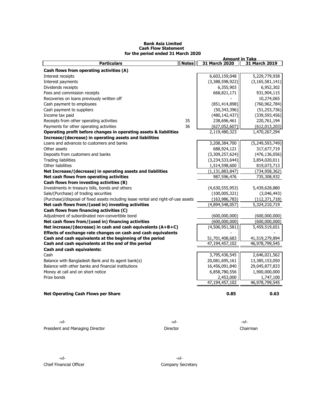|                                                                                    |              | <u>Amount in Taka</u> |                    |  |  |
|------------------------------------------------------------------------------------|--------------|-----------------------|--------------------|--|--|
| <b>Particulars</b>                                                                 | <b>Notes</b> | 31 March 2020         | 31 March 2019      |  |  |
| Cash flows from operating activities (A)                                           |              |                       |                    |  |  |
| Interest receipts                                                                  |              | 6,603,159,048         | 5,229,779,938      |  |  |
| Interest payments                                                                  |              | (3,388,598,922)       | (3, 165, 581, 141) |  |  |
| Dividends receipts                                                                 |              | 6,355,903             | 6,952,302          |  |  |
| Fees and commission receipts                                                       |              | 668,821,171           | 931,904,115        |  |  |
| Recoveries on loans previously written off                                         |              |                       | 10,274,065         |  |  |
| Cash payment to employees                                                          |              | (851, 414, 898)       | (760, 962, 784)    |  |  |
| Cash payment to suppliers                                                          |              | (50, 343, 396)        | (51, 253, 736)     |  |  |
| Income tax paid                                                                    |              | (480, 142, 437)       | (339, 593, 456)    |  |  |
| Receipts from other operating activities                                           | 35           | 238,696,461           | 220,761,194        |  |  |
| Payments for other operating activities                                            | 36           | (627, 052, 607)       | (612, 013, 203)    |  |  |
| Operating profit before changes in operating assets & liabilities                  |              | 2,119,480,323         | 1,470,267,294      |  |  |
| Increase/(decrease) in operating assets and liabilities                            |              |                       |                    |  |  |
| Loans and advances to customers and banks                                          |              | 3,208,384,700         | (5, 249, 593, 749) |  |  |
| Other assets                                                                       |              | 688,924,121           | 317,677,719        |  |  |
| Deposits from customers and banks                                                  |              | (3,309,257,624)       | (476, 136, 056)    |  |  |
| Trading liabilities                                                                |              | (3,234,533,644)       | 3,854,020,011      |  |  |
| Other liabilities                                                                  |              | 1,514,598,600         | 819,073,713        |  |  |
| Net Increase/(decrease) in operating assets and liabilities                        |              | (1, 131, 883, 847)    | (734, 958, 362)    |  |  |
| Net cash flows from operating activities                                           |              | 987,596,476           | 735,308,932        |  |  |
| Cash flows from investing activities (B)                                           |              |                       |                    |  |  |
| Investments in treasury bills, bonds and others                                    |              | (4,630,555,953)       | 5,439,628,880      |  |  |
| Sale/(Purchase) of trading securities                                              |              | (100, 005, 321)       | (3,046,443)        |  |  |
| (Purchase)/disposal of fixed assets including lease rental and right-of-use assets |              | (163, 986, 783)       | (112, 371, 718)    |  |  |
| Net cash flows from/(used in) investing activities                                 |              | (4,894,548,057)       | 5,324,210,719      |  |  |
| Cash flows from financing activities (C)                                           |              |                       |                    |  |  |
| Adjustment of subordinated non-convertible bond                                    |              | (600,000,000)         | (600,000,000)      |  |  |
| Net cash flows from/(used in) financing activities                                 |              | (600,000,000)         | (600,000,000)      |  |  |
| Net increase/(decrease) in cash and cash equivalents (A+B+C)                       |              | (4,506,951,581)       | 5,459,519,651      |  |  |
| Effects of exchange rate changes on cash and cash equivalents                      |              |                       |                    |  |  |
| Cash and cash equivalents at the beginning of the period                           |              | 51,701,408,683        | 41,519,279,894     |  |  |
| Cash and cash equivalents at the end of the period                                 |              | 47,194,457,102        | 46,978,799,545     |  |  |
| <b>Cash and cash equivalents:</b>                                                  |              |                       |                    |  |  |
| Cash                                                                               |              | 3,795,436,545         | 2,646,021,562      |  |  |
| Balance with Bangladesh Bank and its agent bank(s)                                 |              | 20,081,695,161        | 13,385,153,050     |  |  |
| Balance with other banks and financial institutions                                |              | 16,456,091,840        | 29,045,877,833     |  |  |
| Money at call and on short notice                                                  |              | 6,858,780,556         | 1,900,000,000      |  |  |
| Prize bonds                                                                        |              | 2,453,000             | 1,747,100          |  |  |
|                                                                                    |              | 47,194,457,102        | 46,978,799,545     |  |  |
|                                                                                    |              |                       |                    |  |  |
| <b>Net Operating Cash Flows per Share</b>                                          |              | 0.85                  | 0.63               |  |  |
|                                                                                    |              |                       |                    |  |  |

### **Bank Asia Limited Cash Flow Statement for the period ended 31 March 2020**

-sd- -sd- -sd-President and Managing Director **Director** Director **Director** Chairman

-sd- -sd-Chief Financial Officer Company Secretary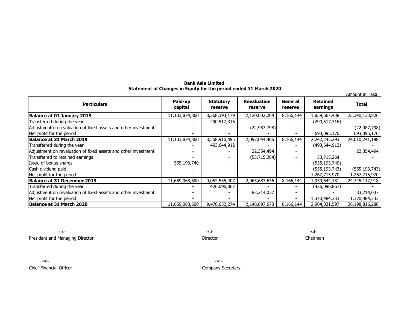# **Bank Asia Limited Statement of Changes in Equity for the period ended 31 March 2020**

| <u>enient of enanged in Equity for the period enueur</u><br>Amount in Taka |                    |                             |                               |                    |                             |                 |  |  |  |
|----------------------------------------------------------------------------|--------------------|-----------------------------|-------------------------------|--------------------|-----------------------------|-----------------|--|--|--|
| <b>Particulars</b>                                                         | Paid-up<br>capital | <b>Statutory</b><br>reserve | <b>Revaluation</b><br>reserve | General<br>reserve | <b>Retained</b><br>earnings | <b>Total</b>    |  |  |  |
| Balance at 01 January 2019                                                 | 11,103,874,860     | 8,268,393,179               | 2,120,032,204                 | 8,166,144          | 1,839,667,438               | 23,340,133,826  |  |  |  |
| Transferred during the year                                                |                    | 290,517,316                 |                               |                    | (290, 517, 316)             |                 |  |  |  |
| Adjustment on revaluation of fixed assets and other investment             |                    |                             | (22, 987, 798)                |                    |                             | (22, 987, 798)  |  |  |  |
| Net profit for the period                                                  |                    |                             |                               |                    | 693,095,170                 | 693,095,170     |  |  |  |
| Balance at 31 March 2019                                                   | 11,103,874,860     | 8,558,910,495               | 2,097,044,406                 | 8,166,144          | 2,242,245,293               | 24,010,241,198  |  |  |  |
| Transferred during the year                                                |                    | 493,644,912                 |                               |                    | (493, 644, 912)             |                 |  |  |  |
| Adjustment on revaluation of fixed assets and other investment             |                    |                             | 22,354,494                    |                    |                             | 22,354,494      |  |  |  |
| Transferred to retained earnings                                           |                    |                             | (53, 715, 264)                |                    | 53,715,264                  |                 |  |  |  |
| Issue of bonus shares                                                      | 555,193,740        |                             |                               |                    | (555, 193, 740)             |                 |  |  |  |
| Cash dividend paid                                                         |                    |                             |                               |                    | (555, 193, 743)             | (555, 193, 743) |  |  |  |
| Net profit for the period                                                  |                    |                             |                               |                    | 1,267,715,970               | 1,267,715,970   |  |  |  |
| Balance at 31 December 2019                                                | 11,659,068,600     | 9,052,555,407               | 2,065,683,636                 | 8,166,144          | 1,959,644,131               | 24,745,117,918  |  |  |  |
| Transferred during the year                                                |                    | 426,096,867                 |                               |                    | (426,096,867)               |                 |  |  |  |
| Adjustment on revaluation of fixed assets and other investment             |                    |                             | 83,214,037                    |                    |                             | 83,214,037      |  |  |  |
| Net profit for the period                                                  |                    |                             |                               |                    | 1,370,484,333               | 1,370,484,333   |  |  |  |
| Balance at 31 March 2020                                                   | 11,659,068,600     | 9,478,652,274               | 2,148,897,673                 | 8,166,144          | 2,904,031,597               | 26,198,816,288  |  |  |  |

-sd- -sd- -sd-President and Managing Director **Director** Director **Director** Director **Director** Chairman

Chief Financial Officer Company Secretary

-sd- -sd-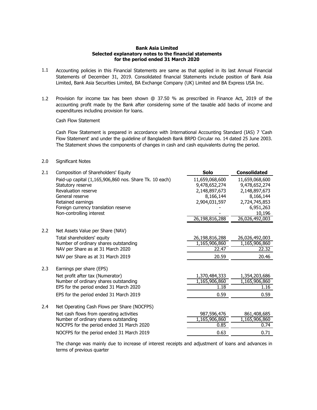# **Bank Asia Limited Selected explanatory notes to the financial statements for the period ended 31 March 2020**

- 1.1 Accounting policies in this Financial Statements are same as that applied in its last Annual Financial Statements of December 31, 2019. Consolidated financial Statements include position of Bank Asia Limited, Bank Asia Securities Limited, BA Exchange Company (UK) Limited and BA Express USA Inc.
- 1.2 Provision for income tax has been shown @ 37.50 % as prescribed in Finance Act, 2019 of the accounting profit made by the Bank after considering some of the taxable add backs of income and expenditures including provision for loans.

Cash Flow Statement

Cash Flow Statement is prepared in accordance with International Accounting Standard (IAS) 7 'Cash Flow Statement' and under the guideline of Bangladesh Bank BRPD Circular no. 14 dated 25 June 2003. The Statement shows the components of changes in cash and cash equivalents during the period.

# 2.0 Significant Notes

| 2.1 | Composition of Shareholders' Equity                    | <b>Solo</b>    | <b>Consolidated</b> |
|-----|--------------------------------------------------------|----------------|---------------------|
|     | Paid-up capital (1,165,906,860 nos. Share Tk. 10 each) | 11,659,068,600 | 11,659,068,600      |
|     | Statutory reserve                                      | 9,478,652,274  | 9,478,652,274       |
|     | Revaluation reserve                                    | 2,148,897,673  | 2,148,897,673       |
|     | General reserve                                        | 8,166,144      | 8,166,144           |
|     | Retained earnings                                      | 2,904,031,597  | 2,724,745,853       |
|     | Foreign currency translation reserve                   |                | 6,951,263           |
|     | Non-controlling interest                               |                | 10,196              |
|     |                                                        | 26,198,816,288 | 26,026,492,003      |
| 2.2 | Net Assets Value per Share (NAV)                       |                |                     |
|     | Total shareholders' equity                             | 26,198,816,288 | 26,026,492,003      |
|     | Number of ordinary shares outstanding                  | 1,165,906,860  | 1,165,906,860       |
|     | NAV per Share as at 31 March 2020                      | 22.47          | 22.32               |
|     | NAV per Share as at 31 March 2019                      | 20.59          | 20.46               |
| 2.3 | Earnings per share (EPS)                               |                |                     |
|     | Net profit after tax (Numerator)                       | 1,370,484,333  | 1,354,203,686       |
|     | Number of ordinary shares outstanding                  | 1,165,906,860  | 1,165,906,860       |
|     | EPS for the period ended 31 March 2020                 | 1.18           | 1.16                |
|     | EPS for the period ended 31 March 2019                 | 0.59           | 0.59                |
| 2.4 | Net Operating Cash Flows per Share (NOCFPS)            |                |                     |
|     | Net cash flows from operating activities               | 987,596,476    | 861,408,685         |
|     | Number of ordinary shares outstanding                  | 1,165,906,860  | 1,165,906,860       |
|     | NOCFPS for the period ended 31 March 2020              | 0.85           | 0.74                |
|     | NOCFPS for the period ended 31 March 2019              | 0.63           | 0.71                |
|     |                                                        |                |                     |

The change was mainly due to increase of interest receipts and adjustment of loans and advances in terms of previous quarter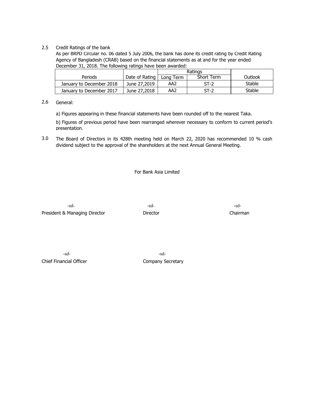# 2.5 Credit Ratings of the bank

As per BRPD Circular no. 06 dated 5 July 2006, the bank has done its credit rating by Credit Rating Agency of Bangladesh (CRAB) based on the financial statements as at and for the year ended December 31, 2018. The following ratings have been awarded:

|                          |                                             | Ratings         |         |        |
|--------------------------|---------------------------------------------|-----------------|---------|--------|
| Periods                  | Short Term<br>Date of Rating  <br>Lona Term |                 | Outlook |        |
| January to December 2018 | June 27,2019                                | AA2             | $ST-2$  | Stable |
| January to December 2017 | June 27,2018                                | AA <sub>2</sub> | $ST-2$  | Stable |

#### 2.6 General:

a) Figures appearing in these financial statements have been rounded off to the nearest Taka.

b) Figures of previous period have been rearranged wherever necessary to conform to current period's presentation.

3.0 The Board of Directors in its 428th meeting held on March 22, 2020 has recommended 10 % cash dividend subject to the approval of the shareholders at the next Annual General Meeting.

For Bank Asia Limited

-sd- -sd-President & Managing Director **Director** Director **Director** Chairman

Chief Financial Officer Chief Financial Officer

-sd- -sd-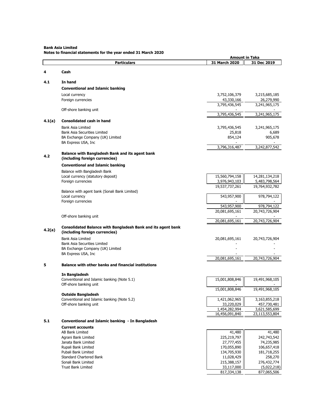**Bank Asia Limited**

**Notes to financial statements for the year ended 31 March 2020**

|        |                                                                         | <b>Amount in Taka</b>           |                                 |
|--------|-------------------------------------------------------------------------|---------------------------------|---------------------------------|
|        | <b>Particulars</b>                                                      | 31 March 2020                   | 31 Dec 2019                     |
|        |                                                                         |                                 |                                 |
| 4      | Cash                                                                    |                                 |                                 |
| 4.1    | In hand                                                                 |                                 |                                 |
|        |                                                                         |                                 |                                 |
|        | <b>Conventional and Islamic banking</b>                                 |                                 |                                 |
|        | Local currency                                                          | 3,752,106,379                   | 3,215,685,185                   |
|        | Foreign currencies                                                      | 43,330,166<br>3,795,436,545     | 26,279,990<br>3,241,965,175     |
|        | Off-shore banking unit                                                  |                                 |                                 |
|        |                                                                         | 3,795,436,545                   | 3,241,965,175                   |
| 4.1(a) | <b>Consolidated cash in hand</b>                                        |                                 |                                 |
|        |                                                                         |                                 |                                 |
|        | <b>Bank Asia Limited</b>                                                | 3,795,436,545                   | 3,241,965,175                   |
|        | <b>Bank Asia Securities Limited</b><br>BA Exchange Company (UK) Limited | 25,818<br>854,124               | 6,689<br>905,678                |
|        | BA Express USA, Inc                                                     |                                 |                                 |
|        |                                                                         | 3,796,316,487                   | 3,242,877,542                   |
|        | <b>Balance with Bangladesh Bank and its agent bank</b>                  |                                 |                                 |
| 4.2    | (including foreign currencies)                                          |                                 |                                 |
|        |                                                                         |                                 |                                 |
|        | <b>Conventional and Islamic banking</b>                                 |                                 |                                 |
|        | Balance with Bangladesh Bank                                            |                                 |                                 |
|        | Local currency (statutory deposit)                                      | 15,560,794,158                  | 14,281,134,218                  |
|        | Foreign currencies                                                      | 3,976,943,103<br>19,537,737,261 | 5,483,798,564<br>19,764,932,782 |
|        | Balance with agent bank (Sonali Bank Limited)                           |                                 |                                 |
|        | Local currency                                                          | 543,957,900                     | 978,794,122                     |
|        | Foreign currencies                                                      |                                 |                                 |
|        |                                                                         | 543,957,900                     | 978,794,122                     |
|        |                                                                         | 20,081,695,161                  | 20,743,726,904                  |
|        | Off-shore banking unit                                                  |                                 |                                 |
|        |                                                                         | 20,081,695,161                  | 20,743,726,904                  |
|        | <b>Consolidated Balance with Bangladesh Bank and its agent bank</b>     |                                 |                                 |
| 4.2(a) | (including foreign currencies)                                          |                                 |                                 |
|        | Bank Asia Limited                                                       | 20,081,695,161                  | 20,743,726,904                  |
|        | Bank Asia Securities Limited                                            |                                 |                                 |
|        | BA Exchange Company (UK) Limited                                        |                                 |                                 |
|        | BA Express USA, Inc                                                     |                                 |                                 |
|        |                                                                         | 20,081,695,161                  | 20,743,726,904                  |
| 5      | <b>Balance with other banks and financial institutions</b>              |                                 |                                 |
|        |                                                                         |                                 |                                 |
|        | In Bangladesh                                                           |                                 |                                 |
|        | Conventional and Islamic banking (Note 5.1)                             | 15,001,808,846                  | 19,491,968,105                  |
|        | Off-shore banking unit                                                  | 15,001,808,846                  | 19,491,968,105                  |
|        | <b>Outside Bangladesh</b>                                               |                                 |                                 |
|        | Conventional and Islamic banking (Note 5.2)                             | 1,421,062,965                   | 3,163,855,218                   |
|        | Off-shore banking unit                                                  | 33,220,029                      | 457,730,481                     |
|        |                                                                         | 1,454,282,994                   | 3,621,585,699                   |
|        |                                                                         | 16,456,091,840                  | 23,113,553,804                  |
| 5.1    | Conventional and Islamic banking - In Bangladesh                        |                                 |                                 |
|        | <b>Current accounts</b>                                                 |                                 |                                 |
|        | AB Bank Limited                                                         | 41,480                          | 41,480                          |
|        | Agrani Bank Limited                                                     | 225,219,797                     | 242,743,542                     |
|        | Janata Bank Limited                                                     | 27,777,455                      | 74,235,985                      |
|        | Rupali Bank Limited                                                     | 170,055,890                     | 106,657,418                     |
|        | Pubali Bank Limited                                                     | 134,705,930                     | 181,718,255                     |
|        | <b>Standard Chartered Bank</b>                                          | 11,028,429                      | 258,270                         |
|        | Sonali Bank Limited                                                     | 215,388,157                     | 276,432,774                     |
|        | Trust Bank Limited                                                      | 33,117,000                      | (5,022,218)                     |
|        |                                                                         | 817,334,138                     | 877,065,506                     |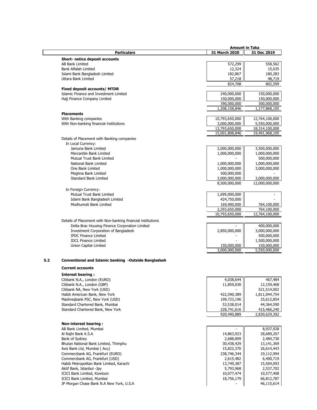| 31 March 2020<br><b>Particulars</b><br>31 Dec 2019<br>Short- notice deposit accounts<br><b>AB Bank Limited</b><br>572,299<br>558,562<br>15,035<br><b>Bank Alfalah Limited</b><br>12,324<br>182,867<br>180,283<br>Islami Bank Bangladesh Limited<br>48,719<br>Uttara Bank Limited<br>57,218<br>824,708<br>802,599<br>Fixed deposit accounts/ MTDR<br>Islamic Finance and Investment Limited<br>240,000,000<br>150,000,000<br>150,000,000<br>150,000,000<br>Hajj Finance Company Limited<br>390,000,000<br>300,000,000<br>1,208,158,846<br>1,177,868,105<br><b>Placements</b><br>12,764,100,000<br>With Banking companies<br>10,793,650,000<br>With Non-banking financial institutions<br>3,000,000,000<br>5,550,000,000<br>13,793,650,000<br>18,314,100,000<br>15,001,808,846<br>19,491,968,105<br>Details of Placement with Banking companies<br>In Local Currency:<br>2,000,000,000<br>3,500,000,000<br>Jamuna Bank Limited<br>1,000,000,000<br>1,000,000,000<br>Mercantile Bank Limited<br>500,000,000<br>Mutual Trust Bank Limited<br>1,000,000,000<br>National Bank Limited<br>1,000,000,000<br>3,000,000,000<br>One Bank Limited<br>1,000,000,000<br>500,000,000<br>Meghna Bank Limited<br>Standard Bank Limited<br>3,000,000,000<br>3,000,000,000<br>8,500,000,000<br>12,000,000,000<br>In Foreign Currency:<br>Mutual Trust Bank Limited<br>1,699,000,000<br>Islami Bank Bangladesh Limited<br>424,750,000<br>Modhumoti Bank Limited<br>169,900,000<br>764,100,000<br>2,293,650,000<br>764,100,000<br>10,793,650,000<br>12,764,100,000<br>Details of Placement with Non-banking financial institutions<br>Delta Brac Housing Finance Corporation Limited<br>400,000,000<br>Investment Corporation of Bangladesh<br>3,000,000,000<br>2,850,000,000<br><b>IPDC Finance Limited</b><br>500,000,000<br>1,500,000,000<br><b>IDCL Finance Limited</b><br>150,000,000<br>150,000,000<br>Union Capital Limited<br>3,000,000,000<br>5,550,000,000<br>Conventional and Islamic banking -Outside Bangladesh<br><b>Current accounts</b><br>Interest bearing:<br>Citibank N.A., London (EURO)<br>4,038,644<br>467,484<br>Citibank N.A., London (GBP)<br>11,859,030<br>12,159,468<br>Citibank NA, New York (USD)<br>521,514,002<br>Habib American Bank, New York<br>422,590,389<br>1,811,044,754<br>199,723,196<br>25,612,854<br>Mashregbank PSC, New York (USD)<br>Standard Chartered Bank, Mumbai<br>53,538,014<br>44,364,590<br>228,741,616<br>415,466,240<br>Standard Chartered Bank, New York<br>920,490,889<br>2,830,629,392<br><b>Non-interest bearing:</b><br>AB Bank Limited, Mumbai<br>8,937,928<br>Al Rajhi Bank K.S.A<br>14,863,923<br>28,689,207<br>Bank of Sydney<br>2,688,899<br>2,484,730<br>Bhutan National Bank Limited, Thimphu<br>30,438,429<br>13,141,369<br>Axis Bank Ltd, Mumbai (Acu)<br>15,822,370<br>26,614,443<br>238,746,344<br>19,112,994<br>Commerzbank AG, Frankfurt (EURO)<br>Commerzbank AG, Frankfurt (USD)<br>2,615,482<br>6,400,719<br>Habib Metropolitan Bank Limited, Karachi<br>13,749,387<br>15,504,093<br>Aktif Bank, Istanbul -Jpy<br>5,793,968<br>2,537,702<br>ICICI Bank Limited, Kowloon<br>10,077,474<br>10,577,408<br>ICICI Bank Limited, Mumbai<br>18,756,179<br>66,812,787<br>JP Morgan Chase Bank N.A New York, U.S.A<br>46,115,614 |     | <b>Amount in Taka</b> |  |
|--------------------------------------------------------------------------------------------------------------------------------------------------------------------------------------------------------------------------------------------------------------------------------------------------------------------------------------------------------------------------------------------------------------------------------------------------------------------------------------------------------------------------------------------------------------------------------------------------------------------------------------------------------------------------------------------------------------------------------------------------------------------------------------------------------------------------------------------------------------------------------------------------------------------------------------------------------------------------------------------------------------------------------------------------------------------------------------------------------------------------------------------------------------------------------------------------------------------------------------------------------------------------------------------------------------------------------------------------------------------------------------------------------------------------------------------------------------------------------------------------------------------------------------------------------------------------------------------------------------------------------------------------------------------------------------------------------------------------------------------------------------------------------------------------------------------------------------------------------------------------------------------------------------------------------------------------------------------------------------------------------------------------------------------------------------------------------------------------------------------------------------------------------------------------------------------------------------------------------------------------------------------------------------------------------------------------------------------------------------------------------------------------------------------------------------------------------------------------------------------------------------------------------------------------------------------------------------------------------------------------------------------------------------------------------------------------------------------------------------------------------------------------------------------------------------------------------------------------------------------------------------------------------------------------------------------------------------------------------------------------------------------------------------------------------------------------------------------------------------------------------------------------------------------------------------------------------------------------------------------------------------------------------|-----|-----------------------|--|
|                                                                                                                                                                                                                                                                                                                                                                                                                                                                                                                                                                                                                                                                                                                                                                                                                                                                                                                                                                                                                                                                                                                                                                                                                                                                                                                                                                                                                                                                                                                                                                                                                                                                                                                                                                                                                                                                                                                                                                                                                                                                                                                                                                                                                                                                                                                                                                                                                                                                                                                                                                                                                                                                                                                                                                                                                                                                                                                                                                                                                                                                                                                                                                                                                                                                                |     |                       |  |
|                                                                                                                                                                                                                                                                                                                                                                                                                                                                                                                                                                                                                                                                                                                                                                                                                                                                                                                                                                                                                                                                                                                                                                                                                                                                                                                                                                                                                                                                                                                                                                                                                                                                                                                                                                                                                                                                                                                                                                                                                                                                                                                                                                                                                                                                                                                                                                                                                                                                                                                                                                                                                                                                                                                                                                                                                                                                                                                                                                                                                                                                                                                                                                                                                                                                                |     |                       |  |
|                                                                                                                                                                                                                                                                                                                                                                                                                                                                                                                                                                                                                                                                                                                                                                                                                                                                                                                                                                                                                                                                                                                                                                                                                                                                                                                                                                                                                                                                                                                                                                                                                                                                                                                                                                                                                                                                                                                                                                                                                                                                                                                                                                                                                                                                                                                                                                                                                                                                                                                                                                                                                                                                                                                                                                                                                                                                                                                                                                                                                                                                                                                                                                                                                                                                                |     |                       |  |
|                                                                                                                                                                                                                                                                                                                                                                                                                                                                                                                                                                                                                                                                                                                                                                                                                                                                                                                                                                                                                                                                                                                                                                                                                                                                                                                                                                                                                                                                                                                                                                                                                                                                                                                                                                                                                                                                                                                                                                                                                                                                                                                                                                                                                                                                                                                                                                                                                                                                                                                                                                                                                                                                                                                                                                                                                                                                                                                                                                                                                                                                                                                                                                                                                                                                                |     |                       |  |
|                                                                                                                                                                                                                                                                                                                                                                                                                                                                                                                                                                                                                                                                                                                                                                                                                                                                                                                                                                                                                                                                                                                                                                                                                                                                                                                                                                                                                                                                                                                                                                                                                                                                                                                                                                                                                                                                                                                                                                                                                                                                                                                                                                                                                                                                                                                                                                                                                                                                                                                                                                                                                                                                                                                                                                                                                                                                                                                                                                                                                                                                                                                                                                                                                                                                                |     |                       |  |
|                                                                                                                                                                                                                                                                                                                                                                                                                                                                                                                                                                                                                                                                                                                                                                                                                                                                                                                                                                                                                                                                                                                                                                                                                                                                                                                                                                                                                                                                                                                                                                                                                                                                                                                                                                                                                                                                                                                                                                                                                                                                                                                                                                                                                                                                                                                                                                                                                                                                                                                                                                                                                                                                                                                                                                                                                                                                                                                                                                                                                                                                                                                                                                                                                                                                                |     |                       |  |
|                                                                                                                                                                                                                                                                                                                                                                                                                                                                                                                                                                                                                                                                                                                                                                                                                                                                                                                                                                                                                                                                                                                                                                                                                                                                                                                                                                                                                                                                                                                                                                                                                                                                                                                                                                                                                                                                                                                                                                                                                                                                                                                                                                                                                                                                                                                                                                                                                                                                                                                                                                                                                                                                                                                                                                                                                                                                                                                                                                                                                                                                                                                                                                                                                                                                                |     |                       |  |
|                                                                                                                                                                                                                                                                                                                                                                                                                                                                                                                                                                                                                                                                                                                                                                                                                                                                                                                                                                                                                                                                                                                                                                                                                                                                                                                                                                                                                                                                                                                                                                                                                                                                                                                                                                                                                                                                                                                                                                                                                                                                                                                                                                                                                                                                                                                                                                                                                                                                                                                                                                                                                                                                                                                                                                                                                                                                                                                                                                                                                                                                                                                                                                                                                                                                                |     |                       |  |
|                                                                                                                                                                                                                                                                                                                                                                                                                                                                                                                                                                                                                                                                                                                                                                                                                                                                                                                                                                                                                                                                                                                                                                                                                                                                                                                                                                                                                                                                                                                                                                                                                                                                                                                                                                                                                                                                                                                                                                                                                                                                                                                                                                                                                                                                                                                                                                                                                                                                                                                                                                                                                                                                                                                                                                                                                                                                                                                                                                                                                                                                                                                                                                                                                                                                                |     |                       |  |
|                                                                                                                                                                                                                                                                                                                                                                                                                                                                                                                                                                                                                                                                                                                                                                                                                                                                                                                                                                                                                                                                                                                                                                                                                                                                                                                                                                                                                                                                                                                                                                                                                                                                                                                                                                                                                                                                                                                                                                                                                                                                                                                                                                                                                                                                                                                                                                                                                                                                                                                                                                                                                                                                                                                                                                                                                                                                                                                                                                                                                                                                                                                                                                                                                                                                                |     |                       |  |
|                                                                                                                                                                                                                                                                                                                                                                                                                                                                                                                                                                                                                                                                                                                                                                                                                                                                                                                                                                                                                                                                                                                                                                                                                                                                                                                                                                                                                                                                                                                                                                                                                                                                                                                                                                                                                                                                                                                                                                                                                                                                                                                                                                                                                                                                                                                                                                                                                                                                                                                                                                                                                                                                                                                                                                                                                                                                                                                                                                                                                                                                                                                                                                                                                                                                                |     |                       |  |
|                                                                                                                                                                                                                                                                                                                                                                                                                                                                                                                                                                                                                                                                                                                                                                                                                                                                                                                                                                                                                                                                                                                                                                                                                                                                                                                                                                                                                                                                                                                                                                                                                                                                                                                                                                                                                                                                                                                                                                                                                                                                                                                                                                                                                                                                                                                                                                                                                                                                                                                                                                                                                                                                                                                                                                                                                                                                                                                                                                                                                                                                                                                                                                                                                                                                                |     |                       |  |
|                                                                                                                                                                                                                                                                                                                                                                                                                                                                                                                                                                                                                                                                                                                                                                                                                                                                                                                                                                                                                                                                                                                                                                                                                                                                                                                                                                                                                                                                                                                                                                                                                                                                                                                                                                                                                                                                                                                                                                                                                                                                                                                                                                                                                                                                                                                                                                                                                                                                                                                                                                                                                                                                                                                                                                                                                                                                                                                                                                                                                                                                                                                                                                                                                                                                                |     |                       |  |
|                                                                                                                                                                                                                                                                                                                                                                                                                                                                                                                                                                                                                                                                                                                                                                                                                                                                                                                                                                                                                                                                                                                                                                                                                                                                                                                                                                                                                                                                                                                                                                                                                                                                                                                                                                                                                                                                                                                                                                                                                                                                                                                                                                                                                                                                                                                                                                                                                                                                                                                                                                                                                                                                                                                                                                                                                                                                                                                                                                                                                                                                                                                                                                                                                                                                                |     |                       |  |
|                                                                                                                                                                                                                                                                                                                                                                                                                                                                                                                                                                                                                                                                                                                                                                                                                                                                                                                                                                                                                                                                                                                                                                                                                                                                                                                                                                                                                                                                                                                                                                                                                                                                                                                                                                                                                                                                                                                                                                                                                                                                                                                                                                                                                                                                                                                                                                                                                                                                                                                                                                                                                                                                                                                                                                                                                                                                                                                                                                                                                                                                                                                                                                                                                                                                                |     |                       |  |
|                                                                                                                                                                                                                                                                                                                                                                                                                                                                                                                                                                                                                                                                                                                                                                                                                                                                                                                                                                                                                                                                                                                                                                                                                                                                                                                                                                                                                                                                                                                                                                                                                                                                                                                                                                                                                                                                                                                                                                                                                                                                                                                                                                                                                                                                                                                                                                                                                                                                                                                                                                                                                                                                                                                                                                                                                                                                                                                                                                                                                                                                                                                                                                                                                                                                                |     |                       |  |
|                                                                                                                                                                                                                                                                                                                                                                                                                                                                                                                                                                                                                                                                                                                                                                                                                                                                                                                                                                                                                                                                                                                                                                                                                                                                                                                                                                                                                                                                                                                                                                                                                                                                                                                                                                                                                                                                                                                                                                                                                                                                                                                                                                                                                                                                                                                                                                                                                                                                                                                                                                                                                                                                                                                                                                                                                                                                                                                                                                                                                                                                                                                                                                                                                                                                                |     |                       |  |
|                                                                                                                                                                                                                                                                                                                                                                                                                                                                                                                                                                                                                                                                                                                                                                                                                                                                                                                                                                                                                                                                                                                                                                                                                                                                                                                                                                                                                                                                                                                                                                                                                                                                                                                                                                                                                                                                                                                                                                                                                                                                                                                                                                                                                                                                                                                                                                                                                                                                                                                                                                                                                                                                                                                                                                                                                                                                                                                                                                                                                                                                                                                                                                                                                                                                                |     |                       |  |
|                                                                                                                                                                                                                                                                                                                                                                                                                                                                                                                                                                                                                                                                                                                                                                                                                                                                                                                                                                                                                                                                                                                                                                                                                                                                                                                                                                                                                                                                                                                                                                                                                                                                                                                                                                                                                                                                                                                                                                                                                                                                                                                                                                                                                                                                                                                                                                                                                                                                                                                                                                                                                                                                                                                                                                                                                                                                                                                                                                                                                                                                                                                                                                                                                                                                                |     |                       |  |
|                                                                                                                                                                                                                                                                                                                                                                                                                                                                                                                                                                                                                                                                                                                                                                                                                                                                                                                                                                                                                                                                                                                                                                                                                                                                                                                                                                                                                                                                                                                                                                                                                                                                                                                                                                                                                                                                                                                                                                                                                                                                                                                                                                                                                                                                                                                                                                                                                                                                                                                                                                                                                                                                                                                                                                                                                                                                                                                                                                                                                                                                                                                                                                                                                                                                                |     |                       |  |
|                                                                                                                                                                                                                                                                                                                                                                                                                                                                                                                                                                                                                                                                                                                                                                                                                                                                                                                                                                                                                                                                                                                                                                                                                                                                                                                                                                                                                                                                                                                                                                                                                                                                                                                                                                                                                                                                                                                                                                                                                                                                                                                                                                                                                                                                                                                                                                                                                                                                                                                                                                                                                                                                                                                                                                                                                                                                                                                                                                                                                                                                                                                                                                                                                                                                                |     |                       |  |
|                                                                                                                                                                                                                                                                                                                                                                                                                                                                                                                                                                                                                                                                                                                                                                                                                                                                                                                                                                                                                                                                                                                                                                                                                                                                                                                                                                                                                                                                                                                                                                                                                                                                                                                                                                                                                                                                                                                                                                                                                                                                                                                                                                                                                                                                                                                                                                                                                                                                                                                                                                                                                                                                                                                                                                                                                                                                                                                                                                                                                                                                                                                                                                                                                                                                                |     |                       |  |
|                                                                                                                                                                                                                                                                                                                                                                                                                                                                                                                                                                                                                                                                                                                                                                                                                                                                                                                                                                                                                                                                                                                                                                                                                                                                                                                                                                                                                                                                                                                                                                                                                                                                                                                                                                                                                                                                                                                                                                                                                                                                                                                                                                                                                                                                                                                                                                                                                                                                                                                                                                                                                                                                                                                                                                                                                                                                                                                                                                                                                                                                                                                                                                                                                                                                                |     |                       |  |
|                                                                                                                                                                                                                                                                                                                                                                                                                                                                                                                                                                                                                                                                                                                                                                                                                                                                                                                                                                                                                                                                                                                                                                                                                                                                                                                                                                                                                                                                                                                                                                                                                                                                                                                                                                                                                                                                                                                                                                                                                                                                                                                                                                                                                                                                                                                                                                                                                                                                                                                                                                                                                                                                                                                                                                                                                                                                                                                                                                                                                                                                                                                                                                                                                                                                                |     |                       |  |
|                                                                                                                                                                                                                                                                                                                                                                                                                                                                                                                                                                                                                                                                                                                                                                                                                                                                                                                                                                                                                                                                                                                                                                                                                                                                                                                                                                                                                                                                                                                                                                                                                                                                                                                                                                                                                                                                                                                                                                                                                                                                                                                                                                                                                                                                                                                                                                                                                                                                                                                                                                                                                                                                                                                                                                                                                                                                                                                                                                                                                                                                                                                                                                                                                                                                                |     |                       |  |
|                                                                                                                                                                                                                                                                                                                                                                                                                                                                                                                                                                                                                                                                                                                                                                                                                                                                                                                                                                                                                                                                                                                                                                                                                                                                                                                                                                                                                                                                                                                                                                                                                                                                                                                                                                                                                                                                                                                                                                                                                                                                                                                                                                                                                                                                                                                                                                                                                                                                                                                                                                                                                                                                                                                                                                                                                                                                                                                                                                                                                                                                                                                                                                                                                                                                                |     |                       |  |
|                                                                                                                                                                                                                                                                                                                                                                                                                                                                                                                                                                                                                                                                                                                                                                                                                                                                                                                                                                                                                                                                                                                                                                                                                                                                                                                                                                                                                                                                                                                                                                                                                                                                                                                                                                                                                                                                                                                                                                                                                                                                                                                                                                                                                                                                                                                                                                                                                                                                                                                                                                                                                                                                                                                                                                                                                                                                                                                                                                                                                                                                                                                                                                                                                                                                                |     |                       |  |
|                                                                                                                                                                                                                                                                                                                                                                                                                                                                                                                                                                                                                                                                                                                                                                                                                                                                                                                                                                                                                                                                                                                                                                                                                                                                                                                                                                                                                                                                                                                                                                                                                                                                                                                                                                                                                                                                                                                                                                                                                                                                                                                                                                                                                                                                                                                                                                                                                                                                                                                                                                                                                                                                                                                                                                                                                                                                                                                                                                                                                                                                                                                                                                                                                                                                                |     |                       |  |
|                                                                                                                                                                                                                                                                                                                                                                                                                                                                                                                                                                                                                                                                                                                                                                                                                                                                                                                                                                                                                                                                                                                                                                                                                                                                                                                                                                                                                                                                                                                                                                                                                                                                                                                                                                                                                                                                                                                                                                                                                                                                                                                                                                                                                                                                                                                                                                                                                                                                                                                                                                                                                                                                                                                                                                                                                                                                                                                                                                                                                                                                                                                                                                                                                                                                                |     |                       |  |
|                                                                                                                                                                                                                                                                                                                                                                                                                                                                                                                                                                                                                                                                                                                                                                                                                                                                                                                                                                                                                                                                                                                                                                                                                                                                                                                                                                                                                                                                                                                                                                                                                                                                                                                                                                                                                                                                                                                                                                                                                                                                                                                                                                                                                                                                                                                                                                                                                                                                                                                                                                                                                                                                                                                                                                                                                                                                                                                                                                                                                                                                                                                                                                                                                                                                                |     |                       |  |
|                                                                                                                                                                                                                                                                                                                                                                                                                                                                                                                                                                                                                                                                                                                                                                                                                                                                                                                                                                                                                                                                                                                                                                                                                                                                                                                                                                                                                                                                                                                                                                                                                                                                                                                                                                                                                                                                                                                                                                                                                                                                                                                                                                                                                                                                                                                                                                                                                                                                                                                                                                                                                                                                                                                                                                                                                                                                                                                                                                                                                                                                                                                                                                                                                                                                                |     |                       |  |
|                                                                                                                                                                                                                                                                                                                                                                                                                                                                                                                                                                                                                                                                                                                                                                                                                                                                                                                                                                                                                                                                                                                                                                                                                                                                                                                                                                                                                                                                                                                                                                                                                                                                                                                                                                                                                                                                                                                                                                                                                                                                                                                                                                                                                                                                                                                                                                                                                                                                                                                                                                                                                                                                                                                                                                                                                                                                                                                                                                                                                                                                                                                                                                                                                                                                                |     |                       |  |
|                                                                                                                                                                                                                                                                                                                                                                                                                                                                                                                                                                                                                                                                                                                                                                                                                                                                                                                                                                                                                                                                                                                                                                                                                                                                                                                                                                                                                                                                                                                                                                                                                                                                                                                                                                                                                                                                                                                                                                                                                                                                                                                                                                                                                                                                                                                                                                                                                                                                                                                                                                                                                                                                                                                                                                                                                                                                                                                                                                                                                                                                                                                                                                                                                                                                                |     |                       |  |
|                                                                                                                                                                                                                                                                                                                                                                                                                                                                                                                                                                                                                                                                                                                                                                                                                                                                                                                                                                                                                                                                                                                                                                                                                                                                                                                                                                                                                                                                                                                                                                                                                                                                                                                                                                                                                                                                                                                                                                                                                                                                                                                                                                                                                                                                                                                                                                                                                                                                                                                                                                                                                                                                                                                                                                                                                                                                                                                                                                                                                                                                                                                                                                                                                                                                                |     |                       |  |
|                                                                                                                                                                                                                                                                                                                                                                                                                                                                                                                                                                                                                                                                                                                                                                                                                                                                                                                                                                                                                                                                                                                                                                                                                                                                                                                                                                                                                                                                                                                                                                                                                                                                                                                                                                                                                                                                                                                                                                                                                                                                                                                                                                                                                                                                                                                                                                                                                                                                                                                                                                                                                                                                                                                                                                                                                                                                                                                                                                                                                                                                                                                                                                                                                                                                                |     |                       |  |
|                                                                                                                                                                                                                                                                                                                                                                                                                                                                                                                                                                                                                                                                                                                                                                                                                                                                                                                                                                                                                                                                                                                                                                                                                                                                                                                                                                                                                                                                                                                                                                                                                                                                                                                                                                                                                                                                                                                                                                                                                                                                                                                                                                                                                                                                                                                                                                                                                                                                                                                                                                                                                                                                                                                                                                                                                                                                                                                                                                                                                                                                                                                                                                                                                                                                                |     |                       |  |
|                                                                                                                                                                                                                                                                                                                                                                                                                                                                                                                                                                                                                                                                                                                                                                                                                                                                                                                                                                                                                                                                                                                                                                                                                                                                                                                                                                                                                                                                                                                                                                                                                                                                                                                                                                                                                                                                                                                                                                                                                                                                                                                                                                                                                                                                                                                                                                                                                                                                                                                                                                                                                                                                                                                                                                                                                                                                                                                                                                                                                                                                                                                                                                                                                                                                                |     |                       |  |
|                                                                                                                                                                                                                                                                                                                                                                                                                                                                                                                                                                                                                                                                                                                                                                                                                                                                                                                                                                                                                                                                                                                                                                                                                                                                                                                                                                                                                                                                                                                                                                                                                                                                                                                                                                                                                                                                                                                                                                                                                                                                                                                                                                                                                                                                                                                                                                                                                                                                                                                                                                                                                                                                                                                                                                                                                                                                                                                                                                                                                                                                                                                                                                                                                                                                                |     |                       |  |
|                                                                                                                                                                                                                                                                                                                                                                                                                                                                                                                                                                                                                                                                                                                                                                                                                                                                                                                                                                                                                                                                                                                                                                                                                                                                                                                                                                                                                                                                                                                                                                                                                                                                                                                                                                                                                                                                                                                                                                                                                                                                                                                                                                                                                                                                                                                                                                                                                                                                                                                                                                                                                                                                                                                                                                                                                                                                                                                                                                                                                                                                                                                                                                                                                                                                                | 5.2 |                       |  |
|                                                                                                                                                                                                                                                                                                                                                                                                                                                                                                                                                                                                                                                                                                                                                                                                                                                                                                                                                                                                                                                                                                                                                                                                                                                                                                                                                                                                                                                                                                                                                                                                                                                                                                                                                                                                                                                                                                                                                                                                                                                                                                                                                                                                                                                                                                                                                                                                                                                                                                                                                                                                                                                                                                                                                                                                                                                                                                                                                                                                                                                                                                                                                                                                                                                                                |     |                       |  |
|                                                                                                                                                                                                                                                                                                                                                                                                                                                                                                                                                                                                                                                                                                                                                                                                                                                                                                                                                                                                                                                                                                                                                                                                                                                                                                                                                                                                                                                                                                                                                                                                                                                                                                                                                                                                                                                                                                                                                                                                                                                                                                                                                                                                                                                                                                                                                                                                                                                                                                                                                                                                                                                                                                                                                                                                                                                                                                                                                                                                                                                                                                                                                                                                                                                                                |     |                       |  |
|                                                                                                                                                                                                                                                                                                                                                                                                                                                                                                                                                                                                                                                                                                                                                                                                                                                                                                                                                                                                                                                                                                                                                                                                                                                                                                                                                                                                                                                                                                                                                                                                                                                                                                                                                                                                                                                                                                                                                                                                                                                                                                                                                                                                                                                                                                                                                                                                                                                                                                                                                                                                                                                                                                                                                                                                                                                                                                                                                                                                                                                                                                                                                                                                                                                                                |     |                       |  |
|                                                                                                                                                                                                                                                                                                                                                                                                                                                                                                                                                                                                                                                                                                                                                                                                                                                                                                                                                                                                                                                                                                                                                                                                                                                                                                                                                                                                                                                                                                                                                                                                                                                                                                                                                                                                                                                                                                                                                                                                                                                                                                                                                                                                                                                                                                                                                                                                                                                                                                                                                                                                                                                                                                                                                                                                                                                                                                                                                                                                                                                                                                                                                                                                                                                                                |     |                       |  |
|                                                                                                                                                                                                                                                                                                                                                                                                                                                                                                                                                                                                                                                                                                                                                                                                                                                                                                                                                                                                                                                                                                                                                                                                                                                                                                                                                                                                                                                                                                                                                                                                                                                                                                                                                                                                                                                                                                                                                                                                                                                                                                                                                                                                                                                                                                                                                                                                                                                                                                                                                                                                                                                                                                                                                                                                                                                                                                                                                                                                                                                                                                                                                                                                                                                                                |     |                       |  |
|                                                                                                                                                                                                                                                                                                                                                                                                                                                                                                                                                                                                                                                                                                                                                                                                                                                                                                                                                                                                                                                                                                                                                                                                                                                                                                                                                                                                                                                                                                                                                                                                                                                                                                                                                                                                                                                                                                                                                                                                                                                                                                                                                                                                                                                                                                                                                                                                                                                                                                                                                                                                                                                                                                                                                                                                                                                                                                                                                                                                                                                                                                                                                                                                                                                                                |     |                       |  |
|                                                                                                                                                                                                                                                                                                                                                                                                                                                                                                                                                                                                                                                                                                                                                                                                                                                                                                                                                                                                                                                                                                                                                                                                                                                                                                                                                                                                                                                                                                                                                                                                                                                                                                                                                                                                                                                                                                                                                                                                                                                                                                                                                                                                                                                                                                                                                                                                                                                                                                                                                                                                                                                                                                                                                                                                                                                                                                                                                                                                                                                                                                                                                                                                                                                                                |     |                       |  |
|                                                                                                                                                                                                                                                                                                                                                                                                                                                                                                                                                                                                                                                                                                                                                                                                                                                                                                                                                                                                                                                                                                                                                                                                                                                                                                                                                                                                                                                                                                                                                                                                                                                                                                                                                                                                                                                                                                                                                                                                                                                                                                                                                                                                                                                                                                                                                                                                                                                                                                                                                                                                                                                                                                                                                                                                                                                                                                                                                                                                                                                                                                                                                                                                                                                                                |     |                       |  |
|                                                                                                                                                                                                                                                                                                                                                                                                                                                                                                                                                                                                                                                                                                                                                                                                                                                                                                                                                                                                                                                                                                                                                                                                                                                                                                                                                                                                                                                                                                                                                                                                                                                                                                                                                                                                                                                                                                                                                                                                                                                                                                                                                                                                                                                                                                                                                                                                                                                                                                                                                                                                                                                                                                                                                                                                                                                                                                                                                                                                                                                                                                                                                                                                                                                                                |     |                       |  |
|                                                                                                                                                                                                                                                                                                                                                                                                                                                                                                                                                                                                                                                                                                                                                                                                                                                                                                                                                                                                                                                                                                                                                                                                                                                                                                                                                                                                                                                                                                                                                                                                                                                                                                                                                                                                                                                                                                                                                                                                                                                                                                                                                                                                                                                                                                                                                                                                                                                                                                                                                                                                                                                                                                                                                                                                                                                                                                                                                                                                                                                                                                                                                                                                                                                                                |     |                       |  |
|                                                                                                                                                                                                                                                                                                                                                                                                                                                                                                                                                                                                                                                                                                                                                                                                                                                                                                                                                                                                                                                                                                                                                                                                                                                                                                                                                                                                                                                                                                                                                                                                                                                                                                                                                                                                                                                                                                                                                                                                                                                                                                                                                                                                                                                                                                                                                                                                                                                                                                                                                                                                                                                                                                                                                                                                                                                                                                                                                                                                                                                                                                                                                                                                                                                                                |     |                       |  |
|                                                                                                                                                                                                                                                                                                                                                                                                                                                                                                                                                                                                                                                                                                                                                                                                                                                                                                                                                                                                                                                                                                                                                                                                                                                                                                                                                                                                                                                                                                                                                                                                                                                                                                                                                                                                                                                                                                                                                                                                                                                                                                                                                                                                                                                                                                                                                                                                                                                                                                                                                                                                                                                                                                                                                                                                                                                                                                                                                                                                                                                                                                                                                                                                                                                                                |     |                       |  |
|                                                                                                                                                                                                                                                                                                                                                                                                                                                                                                                                                                                                                                                                                                                                                                                                                                                                                                                                                                                                                                                                                                                                                                                                                                                                                                                                                                                                                                                                                                                                                                                                                                                                                                                                                                                                                                                                                                                                                                                                                                                                                                                                                                                                                                                                                                                                                                                                                                                                                                                                                                                                                                                                                                                                                                                                                                                                                                                                                                                                                                                                                                                                                                                                                                                                                |     |                       |  |
|                                                                                                                                                                                                                                                                                                                                                                                                                                                                                                                                                                                                                                                                                                                                                                                                                                                                                                                                                                                                                                                                                                                                                                                                                                                                                                                                                                                                                                                                                                                                                                                                                                                                                                                                                                                                                                                                                                                                                                                                                                                                                                                                                                                                                                                                                                                                                                                                                                                                                                                                                                                                                                                                                                                                                                                                                                                                                                                                                                                                                                                                                                                                                                                                                                                                                |     |                       |  |
|                                                                                                                                                                                                                                                                                                                                                                                                                                                                                                                                                                                                                                                                                                                                                                                                                                                                                                                                                                                                                                                                                                                                                                                                                                                                                                                                                                                                                                                                                                                                                                                                                                                                                                                                                                                                                                                                                                                                                                                                                                                                                                                                                                                                                                                                                                                                                                                                                                                                                                                                                                                                                                                                                                                                                                                                                                                                                                                                                                                                                                                                                                                                                                                                                                                                                |     |                       |  |
|                                                                                                                                                                                                                                                                                                                                                                                                                                                                                                                                                                                                                                                                                                                                                                                                                                                                                                                                                                                                                                                                                                                                                                                                                                                                                                                                                                                                                                                                                                                                                                                                                                                                                                                                                                                                                                                                                                                                                                                                                                                                                                                                                                                                                                                                                                                                                                                                                                                                                                                                                                                                                                                                                                                                                                                                                                                                                                                                                                                                                                                                                                                                                                                                                                                                                |     |                       |  |
|                                                                                                                                                                                                                                                                                                                                                                                                                                                                                                                                                                                                                                                                                                                                                                                                                                                                                                                                                                                                                                                                                                                                                                                                                                                                                                                                                                                                                                                                                                                                                                                                                                                                                                                                                                                                                                                                                                                                                                                                                                                                                                                                                                                                                                                                                                                                                                                                                                                                                                                                                                                                                                                                                                                                                                                                                                                                                                                                                                                                                                                                                                                                                                                                                                                                                |     |                       |  |
|                                                                                                                                                                                                                                                                                                                                                                                                                                                                                                                                                                                                                                                                                                                                                                                                                                                                                                                                                                                                                                                                                                                                                                                                                                                                                                                                                                                                                                                                                                                                                                                                                                                                                                                                                                                                                                                                                                                                                                                                                                                                                                                                                                                                                                                                                                                                                                                                                                                                                                                                                                                                                                                                                                                                                                                                                                                                                                                                                                                                                                                                                                                                                                                                                                                                                |     |                       |  |
|                                                                                                                                                                                                                                                                                                                                                                                                                                                                                                                                                                                                                                                                                                                                                                                                                                                                                                                                                                                                                                                                                                                                                                                                                                                                                                                                                                                                                                                                                                                                                                                                                                                                                                                                                                                                                                                                                                                                                                                                                                                                                                                                                                                                                                                                                                                                                                                                                                                                                                                                                                                                                                                                                                                                                                                                                                                                                                                                                                                                                                                                                                                                                                                                                                                                                |     |                       |  |
|                                                                                                                                                                                                                                                                                                                                                                                                                                                                                                                                                                                                                                                                                                                                                                                                                                                                                                                                                                                                                                                                                                                                                                                                                                                                                                                                                                                                                                                                                                                                                                                                                                                                                                                                                                                                                                                                                                                                                                                                                                                                                                                                                                                                                                                                                                                                                                                                                                                                                                                                                                                                                                                                                                                                                                                                                                                                                                                                                                                                                                                                                                                                                                                                                                                                                |     |                       |  |
|                                                                                                                                                                                                                                                                                                                                                                                                                                                                                                                                                                                                                                                                                                                                                                                                                                                                                                                                                                                                                                                                                                                                                                                                                                                                                                                                                                                                                                                                                                                                                                                                                                                                                                                                                                                                                                                                                                                                                                                                                                                                                                                                                                                                                                                                                                                                                                                                                                                                                                                                                                                                                                                                                                                                                                                                                                                                                                                                                                                                                                                                                                                                                                                                                                                                                |     |                       |  |
|                                                                                                                                                                                                                                                                                                                                                                                                                                                                                                                                                                                                                                                                                                                                                                                                                                                                                                                                                                                                                                                                                                                                                                                                                                                                                                                                                                                                                                                                                                                                                                                                                                                                                                                                                                                                                                                                                                                                                                                                                                                                                                                                                                                                                                                                                                                                                                                                                                                                                                                                                                                                                                                                                                                                                                                                                                                                                                                                                                                                                                                                                                                                                                                                                                                                                |     |                       |  |
|                                                                                                                                                                                                                                                                                                                                                                                                                                                                                                                                                                                                                                                                                                                                                                                                                                                                                                                                                                                                                                                                                                                                                                                                                                                                                                                                                                                                                                                                                                                                                                                                                                                                                                                                                                                                                                                                                                                                                                                                                                                                                                                                                                                                                                                                                                                                                                                                                                                                                                                                                                                                                                                                                                                                                                                                                                                                                                                                                                                                                                                                                                                                                                                                                                                                                |     |                       |  |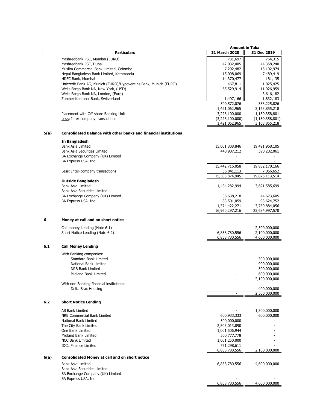|      |                                                                         | <b>Amount in Taka</b> |                    |
|------|-------------------------------------------------------------------------|-----------------------|--------------------|
|      | <b>Particulars</b>                                                      | 31 March 2020         | 31 Dec 2019        |
|      |                                                                         |                       |                    |
|      | Mashregbank PSC, Mumbai (EURO)                                          | 731,697               | 764,315            |
|      | Mashregbank PSC, Dubai                                                  | 42,032,005            | 44,358,240         |
|      | Muslim Commercial Bank Limited, Colombo                                 | 7,292,482             | 15,102,974         |
|      | Nepal Bangladesh Bank Limited, Kathmandu                                | 15,098,069            | 7,489,419          |
|      | HDFC Bank, Mumbai                                                       | 14,370,477            | 181,135            |
|      | Unicredit Bank AG, Munich (EURO)/Hypovereins Bank, Munich (EURO)        | 467,811               | 1,025,425          |
|      | Wells Fargo Bank NA, New York, (USD)                                    | 65,529,914            | 11,926,959         |
|      | Wells Fargo Bank NA, London, (Euro)                                     |                       | 3,616,182          |
|      | Zurcher Kantonal Bank, Switzerland                                      | 1,497,166             | 1,832,183          |
|      |                                                                         | 500,572,076           | 333,225,826        |
|      |                                                                         | 1,421,062,965         | 3,163,855,218      |
|      | Placement with Off-shore Banking Unit                                   | 3,228,100,000         | 1,139,358,801      |
|      | Less: Inter-company transactions                                        | (3,228,100,000)       | (1, 139, 358, 801) |
|      |                                                                         | 1,421,062,965         | 3,163,855,218      |
|      |                                                                         |                       |                    |
| 5(a) | <b>Consolidated Balance with other banks and financial institutions</b> |                       |                    |
|      | In Bangladesh                                                           |                       |                    |
|      | <b>Bank Asia Limited</b>                                                | 15,001,808,846        | 19,491,968,105     |
|      | <b>Bank Asia Securities Limited</b>                                     | 440,907,212           | 390,202,061        |
|      | BA Exchange Company (UK) Limited                                        |                       |                    |
|      | BA Express USA, Inc.                                                    |                       |                    |
|      |                                                                         | 15,442,716,058        | 19,882,170,166     |
|      |                                                                         |                       |                    |
|      | Less: Inter-company transactions                                        | 56,841,113            | 7,056,652          |
|      |                                                                         | 15,385,874,945        | 19,875,113,514     |
|      | <b>Outside Bangladesh</b>                                               |                       |                    |
|      | <b>Bank Asia Limited</b>                                                | 1,454,282,994         | 3,621,585,699      |
|      | <b>Bank Asia Securities Limited</b>                                     |                       |                    |
|      | BA Exchange Company (UK) Limited                                        | 36,638,218            | 44,673,605         |
|      | BA Express USA, Inc.                                                    | 83,501,059            | 93,624,752         |
|      |                                                                         | 1,574,422,271         | 3,759,884,056      |
|      |                                                                         | 16,960,297,216        | 23,634,997,570     |
| 6    | Money at call and on short notice                                       |                       |                    |
|      |                                                                         |                       |                    |
|      | Call money Lending (Note 6.1)                                           |                       | 2,500,000,000      |
|      | Short Notice Lending (Note 6.2)                                         | 6,858,780,556         | 2,100,000,000      |
|      |                                                                         | 6,858,780,556         | 4,600,000,000      |
|      |                                                                         |                       |                    |
| 6.1  | <b>Call Money Lending</b>                                               |                       |                    |
|      | With Banking companies:                                                 |                       |                    |
|      | <b>Standard Bank Limited</b>                                            |                       | 300,000,000        |
|      | National Bank Limited                                                   |                       |                    |
|      |                                                                         |                       | 900,000,000        |
|      | NRB Bank Limited                                                        |                       | 300,000,000        |
|      | Midland Bank Limited                                                    |                       | 600,000,000        |
|      |                                                                         |                       | 2,100,000,000      |
|      | With non Banking financial institutions:                                |                       |                    |
|      | Delta Brac Housing                                                      |                       | 400,000,000        |
|      |                                                                         |                       | 2,500,000,000      |
| 6.2  | <b>Short Notice Lending</b>                                             |                       |                    |
|      |                                                                         |                       |                    |
|      | AB Bank Limited                                                         |                       | 1,500,000,000      |
|      | NRB Commercial Bank Limited                                             | 600,933,333           | 600,000,000        |
|      | National Bank Limited                                                   | 500,000,000           |                    |
|      | The City Bank Limited                                                   | 2,503,013,890         |                    |
|      | One Bank Limited                                                        | 1,001,506,944         |                    |
|      | Midland Bank Limited                                                    | 500,777,778           |                    |
|      | <b>NCC Bank Limited</b>                                                 | 1,001,250,000         |                    |
|      | <b>IDCL Finance Limited</b>                                             | 751,298,611           |                    |
|      |                                                                         | 6,858,780,556         | 2,100,000,000      |
|      |                                                                         |                       |                    |
| 6(a) | <b>Consolidated Money at call and on short notice</b>                   |                       |                    |
|      | Bank Asia Limited                                                       | 6,858,780,556         | 4,600,000,000      |
|      | <b>Bank Asia Securities Limited</b>                                     |                       |                    |
|      | BA Exchange Company (UK) Limited                                        |                       |                    |
|      | BA Express USA, Inc.                                                    |                       |                    |
|      |                                                                         | 6,858,780,556         | 4,600,000,000      |
|      |                                                                         |                       |                    |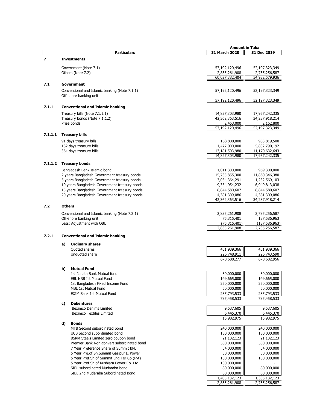|         |    |                                               | <b>Amount in Taka</b>     |                           |
|---------|----|-----------------------------------------------|---------------------------|---------------------------|
|         |    | <b>Particulars</b>                            | 31 March 2020             | 31 Dec 2019               |
| 7       |    | <b>Investments</b>                            |                           |                           |
|         |    |                                               |                           |                           |
|         |    | Government (Note 7.1)                         | 57,192,120,496            | 52,197,323,349            |
|         |    | Others (Note 7.2)                             | 2,835,261,908             | 2,735,256,587             |
|         |    |                                               | 60,027,382,404            | 54,932,579,936            |
| 7.1     |    | Government                                    |                           |                           |
|         |    | Conventional and Islamic banking (Note 7.1.1) | 57,192,120,496            | 52,197,323,349            |
|         |    | Off-shore banking unit                        |                           |                           |
|         |    |                                               | 57,192,120,496            | 52,197,323,349            |
|         |    |                                               |                           |                           |
| 7.1.1   |    | <b>Conventional and Islamic banking</b>       |                           |                           |
|         |    | Treasury bills (Note 7.1.1.1)                 | 14,827,303,980            | 17,957,242,335            |
|         |    | Treasury bonds (Note 7.1.1.2)                 | 42,362,363,516            | 34,237,918,214            |
|         |    | Prize bonds                                   | 2,453,000                 | 2,162,800                 |
|         |    |                                               | 57,192,120,496            | 52, 197, 323, 349         |
| 7.1.1.1 |    | <b>Treasury bills</b>                         |                           |                           |
|         |    | 91 days treasury bills                        | 168,800,000               | 983,819,500               |
|         |    | 182 days treasury bills                       | 1,477,000,000             | 5,802,790,192             |
|         |    | 364 days treasury bills                       | 13,181,503,980            | 11,170,632,643            |
|         |    |                                               | 14,827,303,980            | 17,957,242,335            |
|         |    |                                               |                           |                           |
| 7.1.1.2 |    | <b>Treasury bonds</b>                         |                           |                           |
|         |    | Bangladesh Bank Islamic bond                  | 1,011,300,000             | 969,300,000               |
|         |    | 2 years Bangladesh Government treasury bonds  | 15,735,855,300            | 11,860,346,380            |
|         |    | 5 years Bangladesh Government treasury bonds  | 3,034,364,291             | 1,232,569,103             |
|         |    | 10 years Bangladesh Government treasury bonds | 9,354,954,232             | 6,949,813,038             |
|         |    | 15 years Bangladesh Government treasury bonds | 8,844,580,607             | 8,844,580,607             |
|         |    | 20 years Bangladesh Government treasury bonds | 4,381,309,086             | 4,381,309,086             |
|         |    |                                               | 42,362,363,516            | 34,237,918,214            |
| 7.2     |    | <b>Others</b>                                 |                           |                           |
|         |    |                                               |                           |                           |
|         |    | Conventional and Islamic banking (Note 7.2.1) | 2,835,261,908             | 2,735,256,587             |
|         |    | Off-shore banking unit                        | 75,315,401                | 137,586,963               |
|         |    | Less: Adjustment with OBU                     | (75, 315, 401)            | (137, 586, 963)           |
|         |    |                                               | 2,835,261,908             | 2,735,256,587             |
| 7.2.1   |    | <b>Conventional and Islamic banking</b>       |                           |                           |
|         |    |                                               |                           |                           |
|         | a) | <b>Ordinary shares</b>                        |                           |                           |
|         |    | Quoted shares                                 | 451,939,366               | 451,939,366               |
|         |    | Unquoted share                                | 226,748,911               | 226,743,590               |
|         |    |                                               | 678,688,277               | 678,682,956               |
|         |    |                                               |                           |                           |
|         | b) | <b>Mutual Fund</b>                            |                           |                           |
|         |    | 1st Janata Bank Mutual fund                   | 50,000,000                | 50,000,000                |
|         |    | <b>EBL NRB Ist Mutual Fund</b>                | 149,665,000               | 149,665,000               |
|         |    | 1st Bangladesh Fixed Income Fund              | 250,000,000               | 250,000,000               |
|         |    | MBL 1st Mutual Fund                           | 50,000,000                | 50,000,000                |
|         |    | <b>EXIM Bank 1st Mutual Fund</b>              | 235,793,533               | 235,793,533               |
|         |    |                                               | 735,458,533               | 735,458,533               |
|         | c) | <b>Debentures</b>                             |                           |                           |
|         |    | <b>Beximco Denims Limited</b>                 | 9,537,605                 | 9,537,605                 |
|         |    | <b>Beximco Textiles Limited</b>               | 6,445,370<br>15,982,975   | 6,445,370<br>15,982,975   |
|         | d) | <b>Bonds</b>                                  |                           |                           |
|         |    | MTB Second subordinated bond                  | 240,000,000               | 240,000,000               |
|         |    | UCB Second subordinated bond                  | 180,000,000               | 180,000,000               |
|         |    | BSRM Steels Limited zero coupon bond          | 21,132,123                | 21,132,123                |
|         |    | Premier Bank Non-convert subordinated bond    |                           |                           |
|         |    | 7 Year Preference Share of Summit BPL         | 500,000,000<br>54,000,000 | 500,000,000<br>54,000,000 |
|         |    | 5 Year Pre.of Sh.Summit Gazipur II Power      | 50,000,000                | 50,000,000                |
|         |    | 5 Year Pref.Sh.of Summit Lng Ter Co (Pvt)     | 100,000,000               | 100,000,000               |
|         |    | 5 Year Pref.Sh.of Kushiara Power Co. Ltd      |                           |                           |
|         |    | SIBL subordinated Mudaraba bond               | 100,000,000<br>80,000,000 | 80,000,000                |
|         |    | SIBL 2nd Mudaraba Subordinated Bond           | 80,000,000                | 80,000,000                |
|         |    |                                               | 1,405,132,123             | 1,305,132,123             |
|         |    |                                               | 2,835,261,908             | 2,735,256,587             |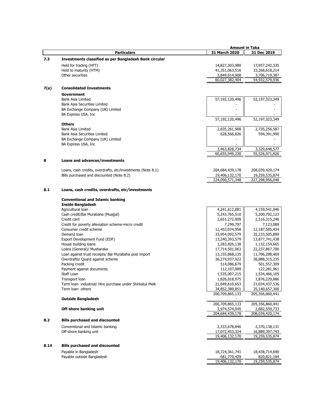|      |                                                                                | <b>Amount in Taka</b>            |                                   |
|------|--------------------------------------------------------------------------------|----------------------------------|-----------------------------------|
|      | <b>Particulars</b>                                                             | 31 March 2020                    | 31 Dec 2019                       |
| 7.3  | Investments classified as per Bangladesh Bank circular                         |                                  |                                   |
|      | Held for trading (HFT)                                                         | 14,827,303,980                   | 17,957,242,335                    |
|      | Held to maturity (HTM)                                                         | 41,351,063,516                   | 33,268,618,214                    |
|      | Other securities                                                               | 3,849,014,908                    | 3,706,719,387                     |
|      |                                                                                | 60,027,382,404                   | 54,932,579,936                    |
| 7(a) | <b>Consolidated Investments</b>                                                |                                  |                                   |
|      | Government                                                                     |                                  |                                   |
|      | <b>Bank Asia Limited</b>                                                       | 57,192,120,496                   | 52,197,323,349                    |
|      | <b>Bank Asia Securities Limited</b>                                            |                                  |                                   |
|      | BA Exchange Company (UK) Limited                                               |                                  |                                   |
|      | BA Express USA, Inc                                                            |                                  |                                   |
|      | <b>Others</b>                                                                  | 57,192,120,496                   | 52,197,323,349                    |
|      | Bank Asia Limited                                                              | 2,835,261,908                    | 2,735,256,587                     |
|      | <b>Bank Asia Securities Limited</b>                                            | 628,566,826                      | 594,391,990                       |
|      | BA Exchange Company (UK) Limited                                               |                                  |                                   |
|      | BA Express USA, Inc                                                            |                                  |                                   |
|      |                                                                                | 3,463,828,734                    | 3,329,648,577                     |
|      |                                                                                | 60,655,949,230                   | 55,526,971,926                    |
| 8    | <b>Loans and advances/investments</b>                                          |                                  |                                   |
|      | Loans, cash credits, overdrafts, etc/investments (Note 8.1)                    | 204,684,439,178                  | 208,039,420,174                   |
|      | Bills purchased and discounted (Note 8.2)                                      | 19,406,132,170                   | 19,259,535,874                    |
|      |                                                                                | 224,090,571,348                  | 227,298,956,048                   |
|      |                                                                                |                                  |                                   |
| 8.1  | Loans, cash credits, overdrafts, etc/investments                               |                                  |                                   |
|      | <b>Conventional and Islamic banking</b>                                        |                                  |                                   |
|      | <b>Inside Bangladesh</b>                                                       |                                  |                                   |
|      | Agricultural loan                                                              | 4,241,612,081                    | 4,159,541,046                     |
|      | Cash credit/Bai Murabaha (Muajjal)                                             | 5,243,765,510                    | 5,200,792,123                     |
|      | Credit card                                                                    | 2,651,272,909                    | 2,516,315,246                     |
|      | Credit for poverty alleviation scheme-micro credit<br>Consumer credit scheme   | 7,299,797                        | 7,123,089                         |
|      | Demand loan                                                                    | 12,453,074,958<br>33,954,092,579 | 12,187,585,434<br>35,233,505,899  |
|      | Export Development Fund (EDF)                                                  | 13,240,393,579                   | 13,877,741,438                    |
|      | House building loans                                                           | 1,283,826,138                    | 1,132,154,665                     |
|      | Loans (General)/ Musharaka                                                     | 17,714,501,063                   | 22,237,867,700                    |
|      | Loan against trust receipts/ Bai Murabaha post import                          | 13,155,868,135                   | 11,706,288,469                    |
|      | Overdrafts/ Quard against scheme                                               | 36,274,937,922                   | 36,888,315,235                    |
|      | Packing credit                                                                 | 514,086,679                      | 501,557,309                       |
|      | Payment against documents                                                      | 112,107,089                      | 122,281,961                       |
|      | Staff Loan                                                                     | 1,535,007,215                    | 1,534,466,105                     |
|      | Transport loan                                                                 | 1,826,018,975                    | 1,876,229,886                     |
|      | Term Ioan- industrial/ Hire purchase under Shirkatul Melk<br>Term loan- others | 21,649,610,653<br>34,852,389,851 | 21,034,437,536                    |
|      |                                                                                | 200,709,865,133                  | 35,140,657,300<br>205,356,860,441 |
|      | <b>Outside Bangladesh</b>                                                      |                                  |                                   |
|      |                                                                                | 200,709,865,133                  | 205,356,860,441                   |
|      | Off-shore banking unit                                                         | 3,974,574,045                    | 2,682,559,733                     |
|      |                                                                                | 204,684,439,178                  | 208,039,420,174                   |
| 8.2  | <b>Bills purchased and discounted</b>                                          |                                  |                                   |
|      | Conventional and Islamic banking                                               | 2,333,678,846                    | 2,370,138,131                     |
|      | Off-shore banking unit                                                         | 17,072,453,324                   | 16,889,397,743                    |
|      |                                                                                | 19,406,132,170                   | 19,259,535,874                    |
| 8.14 | <b>Bills purchased and discounted</b>                                          |                                  |                                   |
|      | Payable in Bangladesh                                                          | 18,724,361,741                   | 18,438,714,690                    |
|      | Payable outside Bangladesh                                                     | 681,770,429                      | 820,821,184                       |
|      |                                                                                | 19,406,132,170                   | 19,259,535,874                    |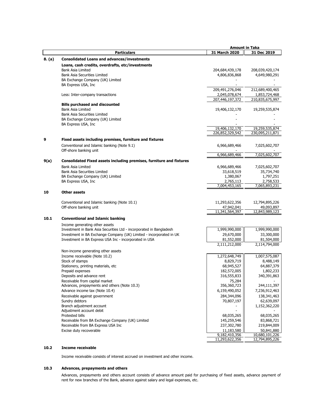|        |                                                                        | <b>Amount in Taka</b>        |                              |
|--------|------------------------------------------------------------------------|------------------------------|------------------------------|
|        | Particulars                                                            | 31 March 2020                | 31 Dec 2019                  |
| 8. (a) | <b>Consolidated Loans and advances/investments</b>                     |                              |                              |
|        | Loans, cash credits, overdrafts, etc/investments                       |                              |                              |
|        | <b>Bank Asia Limited</b>                                               | 204,684,439,178              | 208,039,420,174              |
|        | <b>Bank Asia Securities Limited</b>                                    | 4,806,836,868                | 4,649,980,291                |
|        | BA Exchange Company (UK) Limited                                       |                              |                              |
|        | BA Express USA, Inc                                                    |                              |                              |
|        |                                                                        | 209,491,276,046              | 212,689,400,465              |
|        | Less: Inter-company transactions                                       | 2,045,078,674                | 1,853,724,468                |
|        |                                                                        | 207,446,197,372              | 210,835,675,997              |
|        | <b>Bills purchased and discounted</b>                                  |                              |                              |
|        | <b>Bank Asia Limited</b>                                               | 19,406,132,170               | 19,259,535,874               |
|        | <b>Bank Asia Securities Limited</b>                                    |                              |                              |
|        | BA Exchange Company (UK) Limited                                       |                              |                              |
|        | BA Express USA, Inc.                                                   | 19,406,132,170               | 19,259,535,874               |
|        |                                                                        | 226,852,329,542              | 230,095,211,871              |
| 9      |                                                                        |                              |                              |
|        | Fixed assets including premises, furniture and fixtures                |                              |                              |
|        | Conventional and Islamic banking (Note 9.1)                            | 6,966,689,466                | 7,025,602,707                |
|        | Off-shore banking unit                                                 | 6,966,689,466                | 7,025,602,707                |
|        |                                                                        |                              |                              |
| 9(a)   | Consolidated Fixed assets including premises, furniture and fixtures   |                              |                              |
|        | <b>Bank Asia Limited</b>                                               | 6,966,689,466                | 7,025,602,707                |
|        | <b>Bank Asia Securities Limited</b>                                    | 33,618,519                   | 35,734,740                   |
|        | BA Exchange Company (UK) Limited<br>BA Express USA, Inc.               | 1,380,067<br>2,765,113       | 1,797,251<br>2,758,533       |
|        |                                                                        | 7,004,453,165                | 7,065,893,231                |
|        |                                                                        |                              |                              |
| 10     | <b>Other assets</b>                                                    |                              |                              |
|        |                                                                        |                              |                              |
|        | Conventional and Islamic banking (Note 10.1)<br>Off-shore banking unit | 11,293,622,356<br>47,942,041 | 12,794,895,226<br>49,093,897 |
|        |                                                                        | 11,341,564,397               | 12,843,989,123               |
|        |                                                                        |                              |                              |
| 10.1   | <b>Conventional and Islamic banking</b>                                |                              |                              |
|        | Income generating other assets                                         |                              |                              |
|        | Investment in Bank Asia Securities Ltd - incorporated in Bangladesh    | 1,999,990,000                | 1,999,990,000                |
|        | Investment in BA Exchange Company (UK) Limited - incorporated in UK    | 29,670,000                   | 33,300,000                   |
|        | Investment in BA Express USA Inc - incorporated in USA                 | 81,552,000<br>2,111,212,000  | 81,504,000<br>2,114,794,000  |
|        |                                                                        |                              |                              |
|        | Non-income generating other assets                                     |                              |                              |
|        | Income receivable (Note 10.2)                                          | 1,272,648,749                | 1,007,575,087                |
|        | Stock of stamps                                                        | 8,829,719                    | 8,488,149                    |
|        | Stationery, printing materials, etc<br>Prepaid expenses                | 68,945,527                   | 64,887,379<br>1,802,233      |
|        |                                                                        | 182,572,005<br>316,555,833   | 340,391,863                  |
|        | Deposits and advance rent<br>Receivable from capital market            | 75,284                       |                              |
|        | Advances, prepayments and others (Note 10.3)                           | 356,360,723                  | 244,111,397                  |
|        | Advance income tax (Note 10.4)                                         | 6,159,490,052                | 7,236,912,463                |
|        | Receivable against government                                          | 284,344,096                  | 138,341,463                  |
|        | Sundry debtors                                                         | 70,807,197                   | 62,639,097                   |
|        | Branch adjustment account                                              |                              | 1,152,362,220                |
|        | Adjustment account debit                                               |                              |                              |
|        | Protested bills                                                        | 68,035,265                   | 68,035,265                   |
|        | Receivable from BA Exchange Company (UK) Limited                       | 145,259,546                  | 83,868,721                   |
|        | Receivable from BA Express USA Inc                                     | 237,302,780                  | 219,844,009                  |
|        | Excise duty recoverable                                                | 11,183,580                   | 50,841,880                   |
|        |                                                                        | 9,182,410,356                | 10,680,101,226               |
|        |                                                                        | 11,293,622,356               | 12,794,895,226               |

# **10.2 Income receivable**

Income receivable consists of interest accrued on investment and other income.

# **10.3 Advances, prepayments and others**

Advances, prepayments and others account consists of advance amount paid for purchasing of fixed assets, advance payment of rent for new branches of the Bank, advance against salary and legal expenses, etc.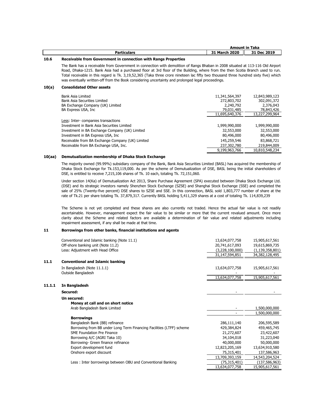|                    |               | <b>Amount in Taka</b> |
|--------------------|---------------|-----------------------|
| <b>Particulars</b> | 31 March 2020 | 31 Dec 2019           |

## **10.6 Receivable from Government in connection with Rangs Properties**

The Bank has a receivable from Government in connection with demolition of Rangs Bhaban in 2008 situated at 113-116 Old Airport Road, Dhaka-1215. Bank Asia had a purchased floor at 3rd floor of the Building, where from the then Scotia Branch used to run. Total receivable in this regard is Tk. 3,19,52,365 (Taka three crore nineteen lac fifty two thousand three hundred sixty five) which was eventually written-off from the Book considering uncertainty and prolonged legal proceedings.

#### **10(a) Consolidated Other assets**

| Bank Asia Limited<br>Bank Asia Securities Limited<br>BA Exchange Company (UK) Limited<br>BA Express USA, Inc. | 11,341,564,397<br>272,803,702<br>2,240,792<br>79,031,485<br>11,695,640,376 | 12,843,989,123<br>302,091,372<br>2,376,043<br>78,843,426<br>13,227,299,964 |
|---------------------------------------------------------------------------------------------------------------|----------------------------------------------------------------------------|----------------------------------------------------------------------------|
| Less: Inter-companies transactions<br>Investment in Bank Asia Securities Limited                              | 1,999,990,000                                                              | 1,999,990,000                                                              |
| Investment in BA Exchange Company (UK) Limited                                                                | 32,553,000                                                                 | 32,553,000                                                                 |
| Investment in BA Express USA, Inc.                                                                            | 80,496,000                                                                 | 80,496,000                                                                 |
| Receivable from BA Exchange Company (UK) Limited                                                              | 145,259,546                                                                | 83,868,721                                                                 |
| Receivable from BA Exchange USA, Inc.                                                                         | 237,302,780                                                                | 219,844,009                                                                |
|                                                                                                               | 9,199,963,766                                                              | 10,810,548,234                                                             |

### **10(aa) Demutualization membership of Dhaka Stock Exchange**

The majority owned (99.99%) subsidiary company of the Bank, Bank Asia Securities Limited (BASL) has acquired the membership of Dhaka Stock Exchange for Tk.153,119,000. As per the scheme of Demutualization of DSE, BASL being the initial shareholders of DSE, is entitled to receive 7,215,106 shares of Tk. 10 each, totaling Tk. 72,151,060.

Under section 14(Ka) of Demutualization Act 2013, Share Purchase Agreement (SPA) executed between Dhaka Stock Exchange Ltd. (DSE) and its strategic investors namely Shenzhen Stock Exchange (SZSE) and Shanghai Stock Exchange (SSE) and completed the sale of 25% (Twenty-five percent) DSE shares to SZSE and SSE. In this connection, BASL sold 1,803,777 number of share at the rate of Tk.21 per share totaling Tk. 37,879,317. Currently BASL holding 5,411,329 shares at a cost of totaling Tk. 114,839,239

The Scheme is not yet completed and these shares are also currently not traded. Hence the actual fair value is not readily ascertainable. However, management expect the fair value to be similar or more that the current revalued amount. Once more clarity about the Scheme and related factors are available a determination of fair value and related adjustments including impairment assessment, if any shall be made at that time.

#### **11 Borrowings from other banks, financial institutions and agents**

|        | Conventional and Islamic banking (Note 11.1)                         | 13,634,077,758  | 15,905,617,561     |
|--------|----------------------------------------------------------------------|-----------------|--------------------|
|        | Off-shore banking unit (Note 11.2)                                   | 20,741,617,093  | 19,615,869,735     |
|        | Less: Adjustment with Head Office                                    | (3,228,100,000) | (1, 139, 358, 801) |
|        |                                                                      | 31,147,594,851  | 34,382,128,495     |
|        |                                                                      |                 |                    |
| 11.1   | <b>Conventional and Islamic banking</b>                              |                 |                    |
|        | In Bangladesh (Note 11.1.1)                                          | 13,634,077,758  | 15,905,617,561     |
|        | Outside Bangladesh                                                   |                 |                    |
|        |                                                                      | 13,634,077,758  | 15,905,617,561     |
| 11.1.1 | In Bangladesh                                                        |                 |                    |
|        | Secured:                                                             |                 |                    |
|        | Un secured:                                                          |                 |                    |
|        | Money at call and on short notice                                    |                 |                    |
|        | Arab Bangladesh Bank Limited                                         |                 | 1,500,000,000      |
|        |                                                                      | ٠               | 1,500,000,000      |
|        | <b>Borrowings</b>                                                    |                 |                    |
|        | Bangladesh Bank (BB) refinance                                       | 286,111,140     | 206,595,589        |
|        | Borrowing from BB under Long Term Financing Facilities (LTFF) scheme | 429,384,824     | 459,465,745        |
|        | SME Foundation Pre Finance                                           | 21,272,607      | 23,422,607         |
|        | Borrowing A/C (AGRI Taka 10)                                         | 34,104,018      | 31,223,040         |
|        | Borrowing- Green finance refinance                                   | 40,000,000      | 50,000,000         |
|        | Export development fund                                              | 12,823,205,169  | 13,634,910,580     |
|        | Onshore export discount                                              | 75,315,401      | 137,586,963        |
|        |                                                                      | 13,709,393,159  | 14,543,204,524     |
|        | Less: Inter borrowings between OBU and Conventional Banking          | (75,315,401)    | (137,586,963)      |
|        |                                                                      | 13,634,077,758  | 15,905,617,561     |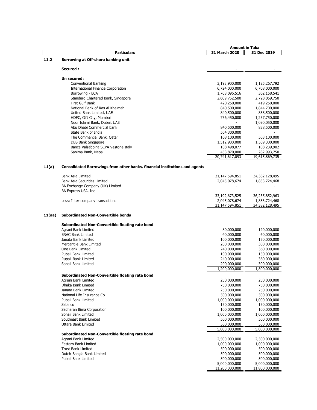|        |                                                                             | <b>Amount in Taka</b>        |                              |
|--------|-----------------------------------------------------------------------------|------------------------------|------------------------------|
|        | <b>Particulars</b>                                                          | 31 March 2020                | 31 Dec 2019                  |
| 11.2   | Borrowing at Off-shore banking unit                                         |                              |                              |
|        | Secured:                                                                    |                              |                              |
|        |                                                                             |                              |                              |
|        | Un secured:                                                                 |                              |                              |
|        | Conventional Banking                                                        | 3,193,900,000                | 1,125,267,792                |
|        | <b>International Finance Corporation</b>                                    | 6,724,000,000                | 6,708,000,000<br>362,158,541 |
|        | Borrowing - ECA<br>Standard Chartered Bank, Singapore                       | 1,768,096,516                |                              |
|        | First Gulf Bank                                                             | 2,609,752,500<br>420,250,000 | 2,728,059,750<br>419,250,000 |
|        | National Bank of Ras Al Khaimah                                             | 840,500,000                  | 1,844,700,000                |
|        | United Bank Limited, UAE                                                    | 840,500,000                  | 838,500,000                  |
|        | HDFC, Gift City, Mumbai                                                     | 756,450,000                  | 1,257,750,000                |
|        | Noor Islami Bank, Dubai, UAE                                                |                              | 1,090,050,000                |
|        | Abu Dhabi Commercial bank                                                   | 840,500,000                  | 838,500,000                  |
|        | State Bank of India                                                         | 504,300,000                  |                              |
|        | The Commercial Bank, Qatar                                                  | 168,100,000                  | 503,100,000                  |
|        | DBS Bank Singapore                                                          | 1,512,900,000                | 1,509,300,000                |
|        | Banca Valsabbina SCPA Vestone Italy                                         | 108,498,077                  | 108,239,902                  |
|        | Sanima Bank, Nepal                                                          | 453,870,000                  | 282,993,750                  |
|        |                                                                             | 20,741,617,093               | 19,615,869,735               |
| 11(a)  | Consolidated Borrowings from other banks, financial institutions and agents |                              |                              |
|        |                                                                             |                              |                              |
|        | <b>Bank Asia Limited</b>                                                    | 31,147,594,851               | 34,382,128,495               |
|        | <b>Bank Asia Securities Limited</b>                                         | 2,045,078,674                | 1,853,724,468                |
|        | BA Exchange Company (UK) Limited                                            |                              |                              |
|        | BA Express USA, Inc                                                         | 33,192,673,525               | 36,235,852,963               |
|        | Less: Inter-company transactions                                            | 2,045,078,674                | 1,853,724,468                |
|        |                                                                             | 31,147,594,851               | 34,382,128,495               |
|        |                                                                             |                              |                              |
| 11(aa) | <b>Subordinated Non-Convertible bonds</b>                                   |                              |                              |
|        | Subordinated Non-Convertible floating rate bond                             |                              |                              |
|        | Agrani Bank Limited                                                         | 80,000,000                   | 120,000,000                  |
|        | <b>BRAC Bank Limited</b>                                                    | 40,000,000                   | 60,000,000                   |
|        | Janata Bank Limited                                                         | 100,000,000                  | 150,000,000                  |
|        | Mercantile Bank Limited                                                     | 200,000,000                  | 300,000,000                  |
|        | One Bank Limited                                                            | 240,000,000                  | 360,000,000                  |
|        | Pubali Bank Limited                                                         | 100,000,000                  | 150,000,000                  |
|        | Rupali Bank Limited                                                         | 240,000,000                  | 360,000,000                  |
|        | Sonali Bank Limited                                                         | 200,000,000<br>1,200,000,000 | 300,000,000<br>1,800,000,000 |
|        | Subordinated Non-Convertible floating rate bond                             |                              |                              |
|        | Agrani Bank Limited                                                         | 250,000,000                  | 250,000,000                  |
|        | Dhaka Bank Limited                                                          | 750,000,000                  | 750,000,000                  |
|        | Janata Bank Limited                                                         | 250,000,000                  | 250,000,000                  |
|        | National Life Insurance Co                                                  | 500,000,000                  | 500,000,000                  |
|        | Pubali Bank Limited                                                         | 1,000,000,000                | 1,000,000,000                |
|        | Sabinco                                                                     | 150,000,000                  | 150,000,000                  |
|        | Sadharan Bima Corporation                                                   | 100,000,000                  | 100,000,000                  |
|        | Sonali Bank Limited                                                         | 1,000,000,000                | 1,000,000,000                |
|        | Southeast Bank Limited                                                      | 500,000,000                  | 500,000,000                  |
|        | Uttara Bank Limited                                                         | 500,000,000                  | 500,000,000                  |
|        |                                                                             | 5,000,000,000                | 5,000,000,000                |
|        | Subordinated Non-Convertible floating rate bond                             |                              |                              |
|        | Agrani Bank Limited                                                         | 2,500,000,000                | 2,500,000,000                |
|        | Eastern Bank Limited                                                        | 1,000,000,000                | 1,000,000,000                |
|        | <b>Trust Bank Limited</b>                                                   | 500,000,000                  | 500,000,000                  |
|        | Dutch-Bangla Bank Limited                                                   | 500,000,000                  | 500,000,000                  |
|        | Pubali Bank Limited                                                         | 500,000,000                  | 500,000,000                  |
|        |                                                                             | 5,000,000,000                | 5,000,000,000                |
|        |                                                                             | 11,200,000,000               | 11,800,000,000               |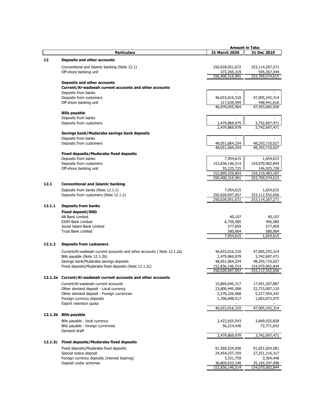|         |                                                                       | <b>Amount in Taka</b>         |                                |
|---------|-----------------------------------------------------------------------|-------------------------------|--------------------------------|
|         | <b>Particulars</b>                                                    | 31 March 2020                 | 31 Dec 2019                    |
|         |                                                                       |                               |                                |
| 12      | Deposits and other accounts                                           |                               |                                |
|         | Conventional and Islamic banking (Note 12.1)                          | 250,028,051,672               | 253,114,207,271                |
|         | Off-shore banking unit                                                | 372,265,319                   | 595,367,344                    |
|         |                                                                       | 250,400,316,991               | 253,709,574,615                |
|         | Deposits and other accounts                                           |                               |                                |
|         | Current/Al-wadeeah current accounts and other accounts                |                               |                                |
|         | Deposits from banks                                                   |                               |                                |
|         | Deposits from customers                                               | 46,653,016,310                | 47,005,242,314                 |
|         | Off-shore banking unit                                                |                               | 448,441,616                    |
|         |                                                                       | 317,039,594<br>46,970,055,904 | 47,453,683,930                 |
|         |                                                                       |                               |                                |
|         | <b>Bills payable</b>                                                  |                               |                                |
|         | Deposits from banks                                                   |                               |                                |
|         | Deposits from customers                                               | 2,479,869,979                 | 3,742,697,471                  |
|         |                                                                       | 2,479,869,979                 | 3,742,697,471                  |
|         | Savings bank/Mudaraba savings bank deposits                           |                               |                                |
|         | Deposits from banks                                                   |                               |                                |
|         | Deposits from customers                                               | 48,051,064,254                | 48,293,710,027                 |
|         |                                                                       | 48,051,064,254                | 48,293,710,027                 |
|         | <b>Fixed deposits/Mudaraba fixed deposits</b>                         |                               |                                |
|         | Deposits from banks                                                   | 7,954,615                     | 1,654,615                      |
|         | Deposits from customers                                               | 152,836,146,514               | 154,070,902,844                |
|         | Off-shore banking unit                                                | 55,225,725                    |                                |
|         |                                                                       | 152,899,326,854               | 146,925,728<br>154,219,483,187 |
|         |                                                                       | 250,400,316,991               | 253,709,574,615                |
|         |                                                                       |                               |                                |
| 12.1    | <b>Conventional and Islamic banking</b>                               |                               |                                |
|         | Deposits from banks (Note 12.1.1)                                     | 7,954,615                     | 1,654,615                      |
|         | Deposits from customers (Note 12.1.2)                                 | 250,020,097,057               | 253,112,552,656                |
|         |                                                                       | 250,028,051,672               | 253,114,207,271                |
| 12.1.1  | <b>Deposits from banks</b>                                            |                               |                                |
|         |                                                                       |                               |                                |
|         | <b>Fixed deposit/SND</b>                                              |                               |                                |
|         | AB Bank Limited                                                       | 40,107                        | 40,107                         |
|         | <b>EXIM Bank Limited</b>                                              | 6,756,585                     | 456,585                        |
|         | Social Islami Bank Limited                                            | 577,859                       | 577,859                        |
|         | Trust Bank Limited                                                    | 580,064                       | 580,064                        |
|         |                                                                       | 7,954,615                     | 1,654,615                      |
| 12.1.2  | <b>Deposits from customers</b>                                        |                               |                                |
|         |                                                                       |                               |                                |
|         | Current/Al-wadeeah current accounts and other accounts (Note 12.1.2a) | 46,653,016,310                | 47,005,242,314                 |
|         | Bills payable (Note 12.1.2b)                                          | 2,479,869,979                 | 3,742,697,471                  |
|         | Savings bank/Mudaraba savings deposits                                | 48,051,064,254                | 48,293,710,027                 |
|         | Fixed deposits/Mudaraba fixed deposits (Note 12.1.2c)                 | 152,836,146,514               | 154,070,902,844                |
|         |                                                                       | 250,020,097,057               | 253,112,552,656                |
|         | 12.1.2a Current/Al-wadeeah current accounts and other accounts        |                               |                                |
|         |                                                                       |                               |                                |
|         | Current/Al-wadeeah current accounts                                   | 15,869,645,317                | 17,441,207,887                 |
|         | Other demand deposit - Local currency                                 | 23,800,445,508                | 22,733,007,110                 |
|         | Other demand deposit - Foreign currencies                             | 5,276,226,968                 | 5,227,954,342                  |
|         | Foreign currency deposits                                             | 1,706,698,517                 | 1,603,072,975                  |
|         | Export retention quota                                                |                               |                                |
|         |                                                                       | 46,653,016,310                | 47,005,242,314                 |
| 12.1.2b | <b>Bills payable</b>                                                  |                               |                                |
|         |                                                                       |                               |                                |
|         | Bills payable - local currency                                        | 2,423,655,543                 | 3,669,925,828                  |
|         | Bills payable - foreign currencies                                    | 56,214,436                    | 72,771,643                     |
|         | Demand draft                                                          | 2,479,869,979                 |                                |
|         |                                                                       |                               | 3,742,697,471                  |
| 12.1.2c | Fixed deposits/Mudaraba fixed deposits                                |                               |                                |
|         | Fixed deposits/Mudaraba fixed deposits                                | 91,569,524,056                | 91,651,024,581                 |
|         | Special notice deposit                                                | 24,454,257,359                | 27,251,216,317                 |
|         | Foreign currency deposits (interest bearing)                          | 3,331,759                     | 3,364,448                      |
|         | Deposit under schemes                                                 | 36,809,033,340                | 35,165,297,498                 |
|         |                                                                       | 152,836,146,514               | 154,070,902,844                |
|         |                                                                       |                               |                                |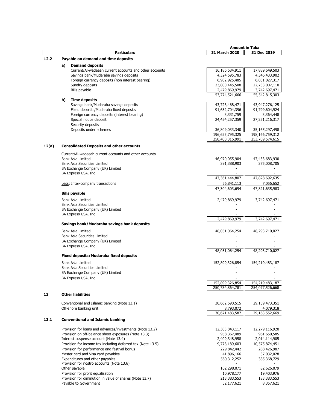|       |    |                                                                                  | <b>Amount in Taka</b> |                    |
|-------|----|----------------------------------------------------------------------------------|-----------------------|--------------------|
|       |    | <b>Particulars</b>                                                               | 31 March 2020         | 31 Dec 2019        |
| 12.2  |    | Payable on demand and time deposits                                              |                       |                    |
|       |    |                                                                                  |                       |                    |
|       | a) | <b>Demand deposits</b><br>Current/Al-wadeeah current accounts and other accounts | 16,186,684,911        | 17,889,649,503     |
|       |    | Savings bank/Mudaraba savings deposits                                           | 4,324,595,783         | 4,346,433,902      |
|       |    | Foreign currency deposits (non interest bearing)                                 | 6,982,925,485         | 6,831,027,317      |
|       |    | Sundry deposits                                                                  | 23,800,445,508        | 22,733,007,110     |
|       |    | Bills payable                                                                    | 2,479,869,979         | 3,742,697,471      |
|       |    |                                                                                  | 53,774,521,666        | 55,542,815,303     |
|       | b) | <b>Time deposits</b>                                                             |                       |                    |
|       |    | Savings bank/Mudaraba savings deposits                                           | 43,726,468,471        | 43,947,276,125     |
|       |    | Fixed deposits/Mudaraba fixed deposits                                           | 91,632,704,396        | 91,799,604,924     |
|       |    | Foreign currency deposits (interest bearing)                                     | 3,331,759             | 3,364,448          |
|       |    | Special notice deposit                                                           | 24,454,257,359        | 27,251,216,317     |
|       |    | Security deposits                                                                |                       |                    |
|       |    | Deposits under schemes                                                           | 36,809,033,340        | 35,165,297,498     |
|       |    |                                                                                  | 196,625,795,325       | 198, 166, 759, 312 |
|       |    |                                                                                  | 250,400,316,991       | 253,709,574,615    |
|       |    |                                                                                  |                       |                    |
| 12(a) |    | <b>Consolidated Deposits and other accounts</b>                                  |                       |                    |
|       |    | Current/AI-wadeeah current accounts and other accounts                           |                       |                    |
|       |    | <b>Bank Asia Limited</b>                                                         | 46,970,055,904        | 47,453,683,930     |
|       |    | <b>Bank Asia Securities Limited</b>                                              | 391,388,903           | 375,008,705        |
|       |    | BA Exchange Company (UK) Limited                                                 |                       |                    |
|       |    | BA Express USA, Inc                                                              |                       |                    |
|       |    |                                                                                  | 47,361,444,807        | 47,828,692,635     |
|       |    | Less: Inter-company transactions                                                 | 56,841,113            | 7,056,652          |
|       |    |                                                                                  | 47,304,603,694        | 47,821,635,983     |
|       |    | <b>Bills payable</b>                                                             |                       |                    |
|       |    | <b>Bank Asia Limited</b>                                                         | 2,479,869,979         | 3,742,697,471      |
|       |    | <b>Bank Asia Securities Limited</b>                                              |                       |                    |
|       |    | BA Exchange Company (UK) Limited                                                 |                       |                    |
|       |    | BA Express USA, Inc                                                              |                       |                    |
|       |    |                                                                                  | 2,479,869,979         | 3,742,697,471      |
|       |    | Savings bank/Mudaraba savings bank deposits                                      |                       |                    |
|       |    |                                                                                  |                       |                    |
|       |    | Bank Asia Limited                                                                | 48,051,064,254        | 48,293,710,027     |
|       |    | <b>Bank Asia Securities Limited</b>                                              |                       |                    |
|       |    | BA Exchange Company (UK) Limited                                                 |                       |                    |
|       |    | BA Express USA, Inc.                                                             | 48.051.064.254        | 48,293,710,027     |
|       |    | <b>Fixed deposits/Mudaraba fixed deposits</b>                                    |                       |                    |
|       |    |                                                                                  |                       |                    |
|       |    | Bank Asia Limited                                                                | 152,899,326,854       | 154,219,483,187    |
|       |    | <b>Bank Asia Securities Limited</b>                                              |                       |                    |
|       |    | BA Exchange Company (UK) Limited                                                 |                       |                    |
|       |    | BA Express USA, Inc                                                              |                       |                    |
|       |    |                                                                                  | 152,899,326,854       | 154,219,483,187    |
|       |    |                                                                                  | 250,734,864,781       | 254,077,526,668    |
| 13    |    | <b>Other liabilities</b>                                                         |                       |                    |
|       |    |                                                                                  |                       |                    |
|       |    | Conventional and Islamic banking (Note 13.1)                                     | 30,662,690,515        | 29,159,473,351     |
|       |    | Off-shore banking unit                                                           | 8,793,072             | 4,079,318          |
|       |    |                                                                                  | 30,671,483,587        | 29,163,552,669     |
| 13.1  |    | <b>Conventional and Islamic banking</b>                                          |                       |                    |
|       |    |                                                                                  |                       |                    |
|       |    | Provision for loans and advances/investments (Note 13.2)                         | 12,383,843,117        | 12,279,116,920     |
|       |    | Provision on off-balance sheet exposures (Note 13.3)                             | 958,367,489           | 961,650,585        |
|       |    | Interest suspense account (Note 13.4)                                            | 2,409,348,958         | 2,014,114,905      |
|       |    | Provision for income tax including deferred tax (Note 13.5)                      | 9,778,189,603         | 10,575,874,451     |
|       |    | Provision for performance and festival bonus                                     | 229,842,442           | 288,426,987        |
|       |    | Master card and Visa card payables                                               | 41,896,166            | 37,032,028         |
|       |    | Expenditures and other payables                                                  | 560,312,252           | 385,368,729        |
|       |    | Provision for nostro accounts (Note 13.6)                                        |                       |                    |
|       |    | Other payable                                                                    | 102,298,071           | 82,626,079         |
|       |    | Provision for profit equalisation                                                | 10,978,177            | 19,403,976         |
|       |    | Provision for diminution in value of shares (Note 13.7)                          | 213,383,553           | 183,383,553        |
|       |    | Payable to Government                                                            | 52,177,621            | 8,357,621          |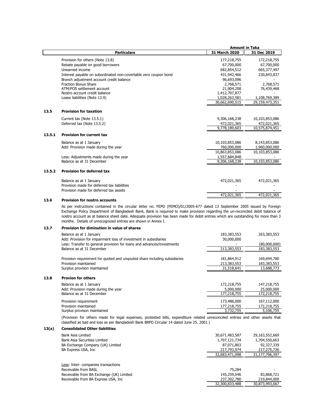|        |                                                                                                                                                                                                                                                              | <b>Amount in Taka</b>     |                           |
|--------|--------------------------------------------------------------------------------------------------------------------------------------------------------------------------------------------------------------------------------------------------------------|---------------------------|---------------------------|
|        | <b>Particulars</b>                                                                                                                                                                                                                                           | 31 March 2020             | 31 Dec 2019               |
|        | Provision for others (Note 13.8)<br>Rebate payable on good borrowers                                                                                                                                                                                         | 177,218,755<br>67,700,000 | 172,218,755<br>67,700,000 |
|        | Unearned income                                                                                                                                                                                                                                              |                           |                           |
|        |                                                                                                                                                                                                                                                              | 682,854,512               | 665,377,497               |
|        | Interest payable on subordinated non-covertable zero coupon bond                                                                                                                                                                                             | 431,942,466               | 230,843,837               |
|        | Branch adjustment account credit balance<br><b>Fraction Bonus Share</b>                                                                                                                                                                                      | 96,693,096                |                           |
|        | ATM/POS settlement account                                                                                                                                                                                                                                   | 2,768,571<br>21,904,208   | 2,768,571<br>76,439,468   |
|        | Nostro account credit balance                                                                                                                                                                                                                                | 1,412,707,877             |                           |
|        | Lease liabilities (Note 13.9)                                                                                                                                                                                                                                | 1,028,263,581             | 1,108,769,389             |
|        |                                                                                                                                                                                                                                                              | 30,662,690,515            | 29,159,473,351            |
| 13.5   | <b>Provision for taxation</b>                                                                                                                                                                                                                                |                           |                           |
|        | Current tax (Note 13.5.1)                                                                                                                                                                                                                                    | 9,306,168,238             | 10,103,853,086            |
|        | Deferred tax (Note 13.5.2)                                                                                                                                                                                                                                   | 472,021,365               | 472,021,365               |
|        |                                                                                                                                                                                                                                                              | 9,778,189,603             | 10,575,874,451            |
| 13.5.1 | <b>Provision for current tax</b>                                                                                                                                                                                                                             |                           |                           |
|        | Balance as at 1 January                                                                                                                                                                                                                                      | 10,103,853,086            | 8,143,853,086             |
|        | Add: Provision made during the year                                                                                                                                                                                                                          | 760,000,000               | 1,960,000,000             |
|        |                                                                                                                                                                                                                                                              | 10,863,853,086            | 10,103,853,086            |
|        | Less: Adjustments made during the year                                                                                                                                                                                                                       | 1,557,684,848             |                           |
|        | Balance as at 31 December                                                                                                                                                                                                                                    | 9,306,168,238             | 10,103,853,086            |
| 13.5.2 | <b>Provision for deferred tax</b>                                                                                                                                                                                                                            |                           |                           |
|        | Balance as at 1 January                                                                                                                                                                                                                                      | 472,021,365               | 472,021,365               |
|        | Provision made for deferred tax liabilities                                                                                                                                                                                                                  |                           |                           |
|        | Provision made for deferred tax assets                                                                                                                                                                                                                       |                           |                           |
|        |                                                                                                                                                                                                                                                              | 472,021,365               | 472,021,365               |
| 13.6   | <b>Provision for nostro accounts</b>                                                                                                                                                                                                                         |                           |                           |
|        | As per instructions contained in the circular letter no. FEPD (FEMO)/01/2005-677 dated 13 September 2005 issued by Foreign<br>Evchange Deligy Department of Pangladech Papk, Papk is required to make provision regarding the un reconciled debit balance of |                           |                           |

Exchange Policy Department of Bangladesh Bank, Bank is required to make provision regarding the un-reconciled debit balance of nostro account as at balance sheet date. Adequate provision has been made for debit entries which are outstanding for more than 3 months. Details of unrecognized entries are shown in Annex I.

#### **13.7 Provision for diminution in value of shares**

**13.8** 

| Balance as at 1 January                                                    | 183,383,553 | 263,383,553  |
|----------------------------------------------------------------------------|-------------|--------------|
| Add: Provision for impairment loss of investment in subsidiaries           | 30,000,000  |              |
| Less: Transfer to general provision for loans and advances/investments     |             | (80,000,000) |
| Balance as at 31 December                                                  | 213,383,553 | 183,383,553  |
|                                                                            |             |              |
| Provision requirement for quoted and ungouted share including subsidiaries | 181,864,912 | 169,694,780  |
| Provision maintained                                                       | 213,383,553 | 183,383,553  |
| Surplus provison maintained                                                | 31,518,641  | 13,688,773   |
| <b>Provion for others</b>                                                  |             |              |
|                                                                            |             |              |
| Balance as at 1 January                                                    | 172,218,755 | 147,218,755  |
| Add: Provision made during the year                                        | 5,000,000   | 25,000,000   |
| Balance as at 31 December                                                  | 177,218,755 | 172,218,755  |
| Provision requirement                                                      | 173,486,000 | 167,112,000  |
| Provision maintained                                                       | 177,218,755 | 172,218,755  |
| Surplus provison maintained                                                | 3,732,755   | 5,106,755    |

(Provision for others made for legal expenses, protested bills, expenditure related unreconciled entries and other assets that classified as bad and loss as per Bangladesh Bank BRPD Circular 14 dated June 25, 2001.)

| 13(a) | <b>Consolidated Other liabilities</b>    |                |                |
|-------|------------------------------------------|----------------|----------------|
|       | Bank Asia Limited                        | 30,671,483,587 | 29,163,552,669 |
|       | Bank Asia Securities Limited             | 1,707,121,734  | 1,704,550,663  |
|       | BA Exchange Company (UK) Limited         | 87,071,803     | 92,327,339     |
|       | BA Express USA, Inc.                     | 217,793,974    | 217,275,726    |
|       |                                          | 32,683,471,098 | 31,177,706,397 |
|       | Less: Inter-companies transactions       |                |                |
|       | Receivable from BASL                     | 75,284         |                |
|       | Receivable from BA Exchange (UK) Limited | 145,259,546    | 83,868,721     |
|       | Receivable from BA Express USA, Inc.     | 237,302,780    | 219,844,009    |
|       |                                          | 32,300,833,488 | 30,873,993,667 |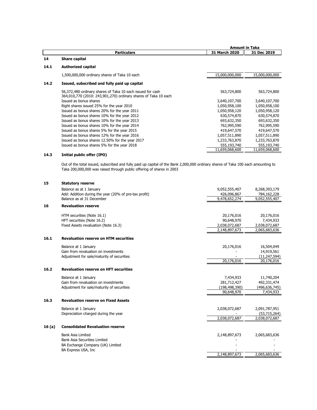|      |                                                                                                                               | <b>Amount in Taka</b> |                |
|------|-------------------------------------------------------------------------------------------------------------------------------|-----------------------|----------------|
|      | <b>Particulars</b>                                                                                                            | 31 March 2020         | 31 Dec 2019    |
| 14   | <b>Share capital</b>                                                                                                          |                       |                |
| 14.1 | <b>Authorized capital</b>                                                                                                     |                       |                |
|      | 1,500,000,000 ordinary shares of Taka 10 each                                                                                 | 15,000,000,000        | 15,000,000,000 |
| 14.2 | Issued, subscribed and fully paid up capital                                                                                  |                       |                |
|      | 56,372,480 ordinary shares of Taka 10 each issued for cash<br>364,010,770 (2010: 243,901,270) ordinary shares of Taka 10 each | 563,724,800           | 563,724,800    |
|      | Issued as bonus shares                                                                                                        | 3,640,107,700         | 3,640,107,700  |
|      | Right shares issued 25% for the year 2010                                                                                     | 1,050,958,100         | 1,050,958,100  |
|      | Issued as bonus shares 20% for the year 2011                                                                                  | 1,050,958,120         | 1,050,958,120  |
|      | Issued as bonus shares 10% for the year 2012                                                                                  | 630,574,870           | 630,574,870    |
|      | Issued as bonus shares 10% for the year 2013                                                                                  | 693,632,350           | 693,632,350    |
|      | Issued as bonus shares 10% for the year 2014                                                                                  | 762,995,590           | 762,995,590    |
|      | Issued as bonus shares 5% for the year 2015                                                                                   | 419,647,570           | 419,647,570    |
|      | Issued as bonus shares 12% for the year 2016                                                                                  | 1,057,511,890         | 1,057,511,890  |
|      | Issued as bonus shares 12.50% for the year 2017                                                                               | 1,233,763,870         | 1,233,763,870  |
|      | Issued as bonus shares 5% for the year 2018                                                                                   | 555,193,740           | 555,193,740    |
|      |                                                                                                                               | 11,659,068,600        | 11,659,068,600 |

# **14.3 Initial public offer (IPO)**

Out of the total issued, subscribed and fully paid up capital of the Bank 2,000,000 ordinary shares of Taka 100 each amounting to Taka 200,000,000 was raised through public offering of shares in 2003

| 15    | <b>Statutory reserve</b>                              |                 |                |
|-------|-------------------------------------------------------|-----------------|----------------|
|       | Balance as at 1 January                               | 9,052,555,407   | 8,268,393,179  |
|       | Add: Addition during the year (20% of pre-tax profit) | 426,096,867     | 784,162,228    |
|       | Balance as at 31 December                             | 9,478,652,274   | 9,052,555,407  |
| 16    | <b>Revaluation reserve</b>                            |                 |                |
|       | HTM securities (Note 16.1)                            | 20,176,016      | 20,176,016     |
|       | HFT securities (Note 16.2)                            | 90,648,970      | 7,434,933      |
|       | Fixed Assets revaluation (Note 16.3)                  | 2,038,072,687   | 2,038,072,687  |
|       |                                                       | 2,148,897,673   | 2,065,683,636  |
| 16.1  | <b>Revaluation reserve on HTM securities</b>          |                 |                |
|       | Balance at 1 January                                  | 20,176,016      | 16,504,049     |
|       | Gain from revaluation on investments                  |                 | 14,919,561     |
|       | Adjustment for sale/maturity of securities            |                 | (11, 247, 594) |
|       |                                                       | 20,176,016      | 20,176,016     |
| 16.2  | <b>Revaluation reserve on HFT securities</b>          |                 |                |
|       | Balance at 1 January                                  | 7,434,933       | 11,740,204     |
|       | Gain from revaluation on investments                  | 281,712,427     | 492,331,474    |
|       | Adjustment for sale/maturity of securities            | (198, 498, 390) | (496,636,745)  |
|       |                                                       | 90,648,970      | 7,434,933      |
| 16.3  | <b>Revaluation reserve on Fixed Assets</b>            |                 |                |
|       | Balance at 1 January                                  | 2,038,072,687   | 2,091,787,951  |
|       | Depreciation charged during the year                  |                 | (53,715,264)   |
|       |                                                       | 2,038,072,687   | 2,038,072,687  |
| 16(a) | <b>Consolidated Revaluation reserve</b>               |                 |                |
|       | <b>Bank Asia Limited</b>                              | 2,148,897,673   | 2,065,683,636  |
|       | <b>Bank Asia Securities Limited</b>                   |                 |                |
|       | BA Exchange Company (UK) Limited                      |                 |                |
|       | BA Express USA, Inc                                   |                 |                |
|       |                                                       | 2,148,897,673   | 2,065,683,636  |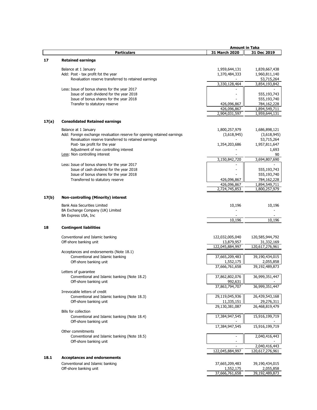|       |                                                                                                 | <b>Amount in Taka</b>        |                                |
|-------|-------------------------------------------------------------------------------------------------|------------------------------|--------------------------------|
|       | <b>Particulars</b>                                                                              | 31 March 2020                | 31 Dec 2019                    |
| 17    | <b>Retained earnings</b>                                                                        |                              |                                |
|       |                                                                                                 |                              |                                |
|       | Balance at 1 January                                                                            | 1,959,644,131                | 1,839,667,438                  |
|       | Add: Post - tax profit fot the year                                                             | 1,370,484,333                | 1,960,811,140                  |
|       | Revaluation reserve transferred to retained earnings                                            |                              | 53,715,264                     |
|       |                                                                                                 | 3,330,128,464                | 3,854,193,842                  |
|       | Less: Issue of bonus shares for the year 2017                                                   |                              |                                |
|       | Issue of cash dividend for the year 2018                                                        |                              | 555,193,743                    |
|       | Issue of bonus shares for the year 2018                                                         |                              | 555,193,740                    |
|       | Transfer to statutory reserve                                                                   | 426,096,867                  | 784,162,228                    |
|       |                                                                                                 | 426,096,867<br>2,904,031,597 | 1,894,549,711<br>1,959,644,131 |
|       |                                                                                                 |                              |                                |
| 17(a) | <b>Consolidated Retained earnings</b>                                                           |                              |                                |
|       |                                                                                                 |                              |                                |
|       | Balance at 1 January<br>Add: Foreign exchange revaluation reserve for opening retained earnings | 1,800,257,979<br>(3,618,945) | 1,686,898,121<br>(3,618,945)   |
|       | Revaluation reserve transferred to retained earnings                                            |                              | 53,715,264                     |
|       | Post- tax profit for the year                                                                   | 1,354,203,686                | 1,957,811,647                  |
|       | Adjustment of non controlling interest                                                          |                              | 1,693                          |
|       | Less: Non controlling interest                                                                  |                              | 90                             |
|       |                                                                                                 | 3,150,842,720                | 3,694,807,690                  |
|       | Less: Issue of bonus shares for the year 2017                                                   |                              |                                |
|       | Issue of cash dividend for the year 2018                                                        |                              | 555,193,743                    |
|       | Issue of bonus shares for the year 2018                                                         |                              | 555,193,740                    |
|       | Transferred to statutory reserve                                                                | 426,096,867                  | 784,162,228                    |
|       |                                                                                                 | 426,096,867                  | 1,894,549,711                  |
|       |                                                                                                 | 2,724,745,853                | 1,800,257,979                  |
| 17(b) | <b>Non-controlling (Minority) interest</b>                                                      |                              |                                |
|       |                                                                                                 |                              |                                |
|       | <b>Bank Asia Securities Limited</b>                                                             | 10,196                       | 10,196                         |
|       | BA Exchange Company (UK) Limited                                                                |                              |                                |
|       | BA Express USA, Inc.                                                                            |                              |                                |
|       |                                                                                                 | 10,196                       | 10,196                         |
| 18    | <b>Contingent liabilities</b>                                                                   |                              |                                |
|       |                                                                                                 |                              |                                |
|       | Conventional and Islamic banking                                                                | 122,032,005,040              | 120,585,944,792                |
|       | Off-shore banking unit                                                                          | 13,879,957                   | 31,332,169                     |
|       |                                                                                                 | 122,045,884,997              | 120,617,276,961                |
|       | Acceptances and endorsements (Note 18.1)                                                        |                              |                                |
|       | Conventional and Islamic banking                                                                | 37,665,209,483               | 39,190,434,015                 |
|       | Off-shore banking unit                                                                          | 1,552,175<br>37,666,761,658  | 2,055,858<br>39,192,489,873    |
|       |                                                                                                 |                              |                                |
|       | Letters of guarantee<br>Conventional and Islamic banking (Note 18.2)                            | 37,862,802,076               | 36,999,351,447                 |
|       | Off-shore banking unit                                                                          | 992,631                      |                                |
|       |                                                                                                 | 37,863,794,707               | 36,999,351,447                 |
|       | Irrevocable letters of credit                                                                   |                              |                                |
|       | Conventional and Islamic banking (Note 18.3)                                                    | 29,119,045,936               | 26,439,543,168                 |
|       | Off-shore banking unit                                                                          | 11,335,151                   | 29,276,311                     |
|       |                                                                                                 | 29,130,381,087               | 26,468,819,479                 |
|       | <b>Bills for collection</b>                                                                     |                              |                                |
|       | Conventional and Islamic banking (Note 18.4)                                                    | 17,384,947,545               | 15,916,199,719                 |
|       | Off-shore banking unit                                                                          |                              |                                |
|       |                                                                                                 | 17,384,947,545               | 15,916,199,719                 |
|       | Other commitments                                                                               |                              |                                |
|       | Conventional and Islamic banking (Note 18.5)                                                    |                              | 2,040,416,443                  |
|       | Off-shore banking unit                                                                          |                              |                                |
|       |                                                                                                 |                              | 2,040,416,443                  |
|       |                                                                                                 | 122,045,884,997              | 120,617,276,961                |
| 18.1  | <b>Acceptances and endorsements</b>                                                             |                              |                                |
|       | Conventional and Islamic banking                                                                | 37,665,209,483               | 39,190,434,015                 |
|       | Off-shore banking unit                                                                          | 1,552,175                    | 2,055,858                      |
|       |                                                                                                 | 37,666,761,658               | 39,192,489,873                 |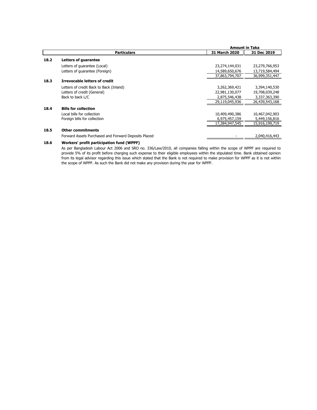|      |                                                      |                | <b>Amount in Taka</b> |  |
|------|------------------------------------------------------|----------------|-----------------------|--|
|      | <b>Particulars</b>                                   | 31 March 2020  | 31 Dec 2019           |  |
| 18.2 | <b>Letters of quarantee</b>                          |                |                       |  |
|      | Letters of quarantee (Local)                         | 23,274,144,031 | 23,279,766,953        |  |
|      | Letters of quarantee (Foreign)                       | 14,589,650,676 | 13,719,584,494        |  |
|      |                                                      | 37,863,794,707 | 36,999,351,447        |  |
| 18.3 | <b>Irrevocable letters of credit</b>                 |                |                       |  |
|      | Letters of credit Back to Back (Inland)              | 3,262,369,421  | 3,394,140,530         |  |
|      | Letters of credit (General)                          | 22,981,130,077 | 19,708,039,248        |  |
|      | Back to back L/C                                     | 2,875,546,438  | 3,337,363,390         |  |
|      |                                                      | 29,119,045,936 | 26,439,543,168        |  |
| 18.4 | <b>Bills for collection</b>                          |                |                       |  |
|      | Local bills for collection                           | 10,409,490,386 | 10,467,042,903        |  |
|      | Foreign bills for collection                         | 6,975,457,159  | 5,449,156,816         |  |
|      |                                                      | 17,384,947,545 | 15,916,199,719        |  |
| 18.5 | <b>Other commitments</b>                             |                |                       |  |
|      | Forward Assets Purchased and Forward Deposits Placed |                | 2,040,416,443         |  |
|      |                                                      |                |                       |  |

# **18.6 Workers' profit participation fund (WPPF)**

As per Bangladesh Labour Act 2006 and SRO no. 336/Law/2010, all companies falling within the scope of WPPF are required to provide 5% of its profit before charging such expense to their eligible employees within the stipulated time. Bank obtained opinion from its legal advisor regarding this issue which stated that the Bank is not required to make provision for WPPF as it is not within the scope of WPPF. As such the Bank did not make any provision during the year for WPPF.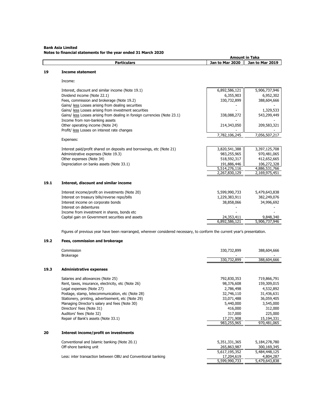# **Bank Asia Limited Notes to financial statements for the year ended 31 March 2020**

|      | <b>Particulars</b>                                                                                                                                                                                                                                                                                                                                                                                                                                                                                                                     | Jan to Mar 2020                                                                                           | Jan to Mar 2019                                                                                                        |
|------|----------------------------------------------------------------------------------------------------------------------------------------------------------------------------------------------------------------------------------------------------------------------------------------------------------------------------------------------------------------------------------------------------------------------------------------------------------------------------------------------------------------------------------------|-----------------------------------------------------------------------------------------------------------|------------------------------------------------------------------------------------------------------------------------|
| 19   | <b>Income statement</b>                                                                                                                                                                                                                                                                                                                                                                                                                                                                                                                |                                                                                                           |                                                                                                                        |
|      | Income:                                                                                                                                                                                                                                                                                                                                                                                                                                                                                                                                |                                                                                                           |                                                                                                                        |
|      | Interest, discount and similar income (Note 19.1)<br>Dividend income (Note 22.1)<br>Fees, commission and brokerage (Note 19.2)<br>Gains/ less Losses arising from dealing securities<br>Gains/ less Losses arising from investment securities<br>Gains/ less Losses arising from dealing in foreign currencies (Note 23.1)<br>Income from non-banking assets<br>Other operating income (Note 24)<br>Profit/ less Losses on interest rate changes<br>Expenses:<br>Interest paid/profit shared on deposits and borrowings, etc (Note 21) | 6,892,586,121<br>6,355,903<br>330,732,899<br>338,088,272<br>214,343,050<br>7,782,106,245<br>3,820,541,388 | 5,906,737,946<br>6,952,302<br>388,604,666<br>1,329,533<br>543,299,449<br>209,583,321<br>7,056,507,217<br>3,397,125,708 |
|      | Administrative expenses (Note 19.3)<br>Other expenses (Note 34)<br>Depreciation on banks assets (Note 33.1)                                                                                                                                                                                                                                                                                                                                                                                                                            | 983,255,965<br>518,592,317<br>191,886,446<br>5,514,276,116<br>2,267,830,129                               | 970,481,065<br>412,652,665<br>106,272,328<br>4,886,531,766<br>2,169,975,451                                            |
| 19.1 | Interest, discount and similar income                                                                                                                                                                                                                                                                                                                                                                                                                                                                                                  |                                                                                                           |                                                                                                                        |
|      | Interest income/profit on investments (Note 20)<br>Interest on treasury bills/reverse repo/bills<br>Interest income on corporate bonds<br>Interest on debentures<br>Income from investment in shares, bonds etc<br>Capital gain on Government securities and assets                                                                                                                                                                                                                                                                    | 5,599,990,733<br>1,229,383,911<br>38,858,066<br>24,353,411<br>6,892,586,121                               | 5,479,643,838<br>382,249,076<br>34,996,692<br>9,848,340<br>5,906,737,946                                               |

 **Amount in Taka** 

Figures of previous year have been rearranged, wherever considered necessary, to conform the current year's presentation.

# **19.2 Fees, commission and brokerage**

|      | Commission<br><b>Brokerage</b>                               | 330,732,899   | 388,604,666   |
|------|--------------------------------------------------------------|---------------|---------------|
|      |                                                              | 330,732,899   | 388,604,666   |
| 19.3 | <b>Administrative expenses</b>                               |               |               |
|      | Salaries and allowances (Note 25)                            | 792,830,353   | 719,866,791   |
|      | Rent, taxes, insurance, electricity, etc (Note 26)           | 98,376,608    | 159,309,015   |
|      | Legal expenses (Note 27)                                     | 2,786,498     | 4,532,892     |
|      | Postage, stamp, telecommunication, etc (Note 28)             | 32,746,110    | 31,436,631    |
|      | Stationery, printing, advertisement, etc (Note 29)           | 33,071,488    | 36,059,405    |
|      | Managing Director's salary and fees (Note 30)                | 5,440,000     | 3,545,000     |
|      | Directors' fees (Note 31)                                    | 416,000       | 312,000       |
|      | Auditors' fees (Note 32)                                     | 317,000       | 225,000       |
|      | Repair of Bank's assets (Note 33.1)                          | 17,271,908    | 15,194,331    |
|      |                                                              | 983,255,965   | 970,481,065   |
| 20   | Interest income/profit on investments                        |               |               |
|      | Conventional and Islamic banking (Note 20.1)                 | 5,351,331,365 | 5,184,278,780 |
|      | Off-shore banking unit                                       | 265,863,987   | 300,169,345   |
|      |                                                              | 5,617,195,352 | 5,484,448,125 |
|      | Less: inter transaction between OBU and Conventional banking | 17,204,619    | 4,804,287     |
|      |                                                              | 5,599,990,733 | 5,479,643,838 |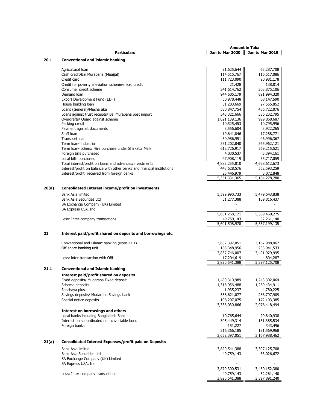|       |                                                                        |                 | <b>Amount in Taka</b> |
|-------|------------------------------------------------------------------------|-----------------|-----------------------|
|       | <b>Particulars</b>                                                     | Jan to Mar 2020 | Jan to Mar 2019       |
| 20.1  | <b>Conventional and Islamic banking</b>                                |                 |                       |
|       |                                                                        |                 |                       |
|       | Agricultural loan                                                      | 91,625,644      | 63,287,708            |
|       | Cash credit/Bai Murabaha (Muajjal)                                     | 114,515,767     | 116,517,086           |
|       | Credit card                                                            | 111,723,090     | 90,981,178            |
|       | Credit for poverty alleviation scheme-micro credit                     | 21,428          | 138,014               |
|       | Consumer credit scheme                                                 | 341,614,762     | 303,875,106           |
|       | Demand Ioan                                                            | 944,605,179     | 891,994,320           |
|       | Export Development Fund (EDF)                                          |                 | 68,147,590            |
|       | House building loan                                                    | 50,978,448      |                       |
|       |                                                                        | 31,283,669      | 27,555,852            |
|       | Loans (General)/Musharaka                                              | 530,847,754     | 456,722,076           |
|       | Loans against trust receipts/ Bai Murabaha post import                 | 343,321,666     | 336,232,795           |
|       | Overdrafts/ Quard against scheme                                       | 1,021,139,136   | 999,868,687           |
|       | Packing credit                                                         | 10,525,453      | 10,795,996            |
|       | Payment against documents                                              | 3,556,604       | 3,922,265             |
|       | Staff Ioan                                                             | 19,641,846      | 17,288,771            |
|       | Transport loan                                                         | 50,986,951      | 46,996,367            |
|       | Term loan- industrial                                                  | 551,202,840     | 565,962,121           |
|       | Term Ioan- others/ Hire purchase under Shirkatul Melk                  | 612,726,917     | 569,215,521           |
|       | Foreign bills purchased                                                | 4,030,537       | 3,394,161             |
|       | Local bills purchased                                                  | 47,908,119      | 55,717,059            |
|       | Total interest/profit on loans and advances/investments                | 4,882,255,810   | 4,628,612,673         |
|       | Interest/profit on balance with other banks and financial institutions | 443,628,576     | 552,593,259           |
|       | Interest/profit received from foreign banks                            | 25,446,979      | 3,072,848             |
|       |                                                                        | 5,351,331,365   | 5,184,278,780         |
|       |                                                                        |                 |                       |
| 20(a) | <b>Consolidated Interest income/profit on investments</b>              |                 |                       |
|       | Bank Asia limited                                                      | 5,599,990,733   | 5,479,643,838         |
|       | Bank Asia Securities Ltd                                               |                 |                       |
|       |                                                                        | 51,277,388      | 109,816,437           |
|       | BA Exchange Company (UK) Limited                                       |                 |                       |
|       | BA Express USA, Inc.                                                   |                 |                       |
|       |                                                                        | 5,651,268,121   | 5,589,460,275         |
|       | Less: Inter-company transactions                                       | 49,759,143      | 52,261,140            |
|       |                                                                        | 5,601,508,978   | 5,537,199,135         |
| 21    | Interest paid/profit shared on deposits and borrowings etc.            |                 |                       |
|       |                                                                        |                 |                       |
|       | Conventional and Islamic banking (Note 21.1)                           | 3,652,397,051   | 3,167,988,462         |
|       | Off-shore banking unit                                                 | 185,348,956     | 233,941,533           |
|       |                                                                        | 3,837,746,007   | 3,401,929,995         |
|       | Less: inter transaction with OBU                                       | 17,204,619      | 4,804,287             |
|       |                                                                        | 3,820,541,388   | 3,397,125,708         |
|       |                                                                        |                 |                       |
| 21.1  | <b>Conventional and Islamic banking</b>                                |                 |                       |
|       | Interest paid/profit shared on deposits                                |                 |                       |
|       | Fixed deposits/ Mudaraba Fixed deposit                                 | 1,480,310,989   | 1,243,302,064         |
|       | Scheme deposits                                                        | 1,316,956,488   | 1,269,434,911         |
|       | Sanchaya plus                                                          | 1,935,237       | 4,780,225             |
|       | Savings deposits/ Mudaraba Savings bank                                | 338,621,077     | 286,797,909           |
|       | Special notice deposits                                                | 198,207,075     | 172,103,385           |
|       |                                                                        | 3,336,030,866   | 2,976,418,494         |
|       | <b>Interest on borrowings and others</b>                               |                 |                       |
|       | Local banks including Bangladesh Bank                                  | 10,765,644      | 29,840,938            |
|       | Interest on subordinated non-covertable bond                           | 305,449,314     | 161,385,534           |
|       |                                                                        |                 |                       |
|       | Foreign banks                                                          | 151,227         | 343,496               |
|       |                                                                        | 316,366,185     | 191,569,968           |
|       |                                                                        | 3,652,397,051   | 3,167,988,462         |
| 21(a) | <b>Consolidated Interest Expenses/profit paid on Deposits</b>          |                 |                       |
|       | Bank Asia limited                                                      | 3,820,541,388   | 3,397,125,708         |
|       | Bank Asia Securities Ltd                                               | 49,759,143      | 53,026,672            |
|       | BA Exchange Company (UK) Limited                                       |                 |                       |
|       | BA Express USA, Inc                                                    |                 |                       |
|       |                                                                        | 3,870,300,531   | 3,450,152,380         |
|       | Less: Inter-company transactions                                       | 49,759,143      | 52,261,140            |
|       |                                                                        | 3,820,541,388   | 3,397,891,240         |
|       |                                                                        |                 |                       |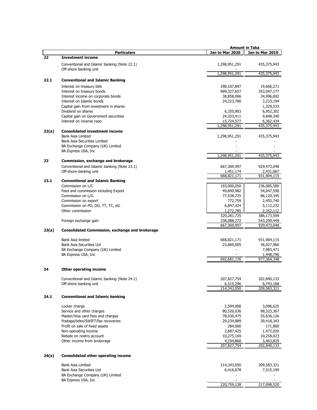|       |                                                          |                 | <b>Amount in Taka</b> |
|-------|----------------------------------------------------------|-----------------|-----------------------|
|       | <b>Particulars</b>                                       | Jan to Mar 2020 | Jan to Mar 2019       |
| 22    | <b>Investment income</b>                                 |                 |                       |
|       |                                                          |                 |                       |
|       | Conventional and Islamic banking (Note 22.1)             | 1,298,951,291   | 435,375,943           |
|       | Off-shore banking unit                                   |                 |                       |
|       |                                                          | 1,298,951,291   | 435,375,943           |
| 22.1  | <b>Conventional and Islamic Banking</b>                  |                 |                       |
|       | Interest on treasury bills                               | 290,107,897     | 19,606,271            |
|       | Interest on treasury bonds                               | 899,327,657     | 353,047,177           |
|       |                                                          |                 |                       |
|       | Interest income on corporate bonds                       | 38,858,066      | 34,996,692            |
|       | Interest on Islamic bonds                                | 24,223,780      | 3,233,194             |
|       | Capital gain from investment in shares                   |                 | 1,329,533             |
|       | Dividend on shares                                       | 6,355,903       | 6,952,302             |
|       | Capital gain on Government securities                    | 24,353,411      | 9,848,340             |
|       | Interest on reverse repo                                 | 15,724,577      | 6,362,434             |
|       |                                                          | 1,298,951,291   | 435,375,943           |
| 22(a) | <b>Consolidated investment income</b>                    |                 |                       |
|       | <b>Bank Asia Limited</b>                                 | 1,298,951,291   | 435,375,943           |
|       | Bank Asia Securities Limited                             |                 |                       |
|       | BA Exchange Company (UK) Limited                         |                 |                       |
|       | BA Express USA, Inc                                      |                 |                       |
|       |                                                          | 1,298,951,291   | 435,375,943           |
| 23    |                                                          |                 |                       |
|       | Commission, exchange and brokerage                       |                 |                       |
|       | Conventional and Islamic banking (Note 23.1)             | 667,369,997     | 929,473,048           |
|       | Off-shore banking unit                                   | 1,451,174       | 2,431,067             |
|       |                                                          | 668,821,171     | 931,904,115           |
| 23.1  | <b>Conventional and Islamic Banking</b>                  |                 |                       |
|       | Commission on L/C                                        | 193,000,050     | 236,085,580           |
|       | Fees and commission including Export                     | 49,849,982      | 54,047,590            |
|       | Commission on L/G                                        | 77,538,725      | 86,120,345            |
|       | Commission on export                                     | 772,759         | 2,455,740             |
|       | Commission on PO, DD, TT, TC, etc                        | 6,847,424       | 5,112,232             |
|       | Other commission                                         | 1,272,785       | 2,352,112             |
|       |                                                          | 329,281,725     | 386,173,599           |
|       | Foreign exchange gain                                    | 338,088,272     | 543,299,449           |
|       |                                                          | 667,369,997     | 929,473,048           |
| 23(a) | <b>Consolidated Commission, exchange and brokerage</b>   |                 |                       |
|       |                                                          |                 |                       |
|       | Bank Asia limited                                        | 668,821,171     | 931,904,115           |
|       |                                                          |                 |                       |
|       | Bank Asia Securities Ltd                                 | 23,860,005      | 36,027,966            |
|       | BA Exchange Company (UK) Limited                         |                 | 7,983,471             |
|       | BA Express USA, Inc                                      |                 | 1,448,796             |
|       |                                                          | 692,681,176     | 977,364,348           |
|       |                                                          |                 |                       |
| 24    | <b>Other operating income</b>                            |                 |                       |
|       |                                                          |                 |                       |
|       | Conventional and Islamic banking (Note 24.1)             | 207,827,754     | 202,840,133           |
|       | Off-shore banking unit                                   | 6,515,296       | 6,743,188             |
|       |                                                          | 214,343,050     | 209,583,321           |
|       |                                                          |                 |                       |
| 24.1  | <b>Conventional and Islamic banking</b>                  |                 |                       |
|       |                                                          |                 |                       |
|       | Locker charge                                            | 2,594,900       | 3,096,625             |
|       | Service and other charges                                | 80,520,036      | 98,323,367            |
|       | Master/Visa card fees and charges                        | 78,036,475      | 55,636,126            |
|       | Postage/telex/SWIFT/fax recoveries                       | 29,234,889      | 30,418,343            |
|       | Profit on sale of fixed assets                           | 284,000         | 171,800               |
|       | Non-operating income                                     | 2,687,425       | 1,472,020             |
|       | Rebate on nostro account                                 | 10,275,169      | 10,258,023            |
|       | Other income from brokerage                              | 4,194,860       | 3,463,829             |
|       |                                                          | 207,827,754     | 202,840,133           |
|       |                                                          |                 |                       |
| 24(a) | <b>Consolidated other operating income</b>               |                 |                       |
|       |                                                          |                 |                       |
|       |                                                          |                 |                       |
|       | Bank Asia Limited                                        |                 |                       |
|       |                                                          | 214,343,050     | 209,583,321           |
|       | Bank Asia Securities Ltd                                 | 6,416,078       | 7,515,199             |
|       | BA Exchange Company (UK) Limited<br>BA Express USA, Inc. |                 |                       |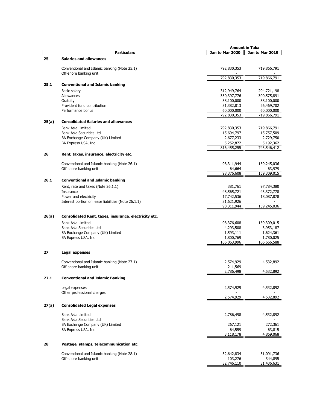|       |                                                                        |                          | Amount in Taka           |
|-------|------------------------------------------------------------------------|--------------------------|--------------------------|
|       | <b>Particulars</b>                                                     | Jan to Mar 2020          | Jan to Mar 2019          |
| 25    | <b>Salaries and allowances</b>                                         |                          |                          |
|       | Conventional and Islamic banking (Note 25.1)                           | 792,830,353              | 719,866,791              |
|       | Off-shore banking unit                                                 | 792,830,353              | 719,866,791              |
| 25.1  | <b>Conventional and Islamic banking</b>                                |                          |                          |
|       |                                                                        |                          |                          |
|       | Basic salary                                                           | 312,949,764              | 294,721,198              |
|       | Allowances                                                             | 350, 397, 776            | 300,575,891              |
|       | Gratuity<br>Provident fund contribution                                | 38,100,000               | 38,100,000               |
|       | Performance bonus                                                      | 31,382,813<br>60,000,000 | 26,469,702<br>60,000,000 |
|       |                                                                        | 792,830,353              | 719,866,791              |
| 25(a) | <b>Consolidated Salaries and allowances</b>                            |                          |                          |
|       | <b>Bank Asia Limited</b>                                               | 792,830,353              | 719,866,791              |
|       | Bank Asia Securities Ltd                                               | 15,694,797               | 15,757,509               |
|       | BA Exchange Company (UK) Limited                                       | 2,677,233                | 2,729,750                |
|       | BA Express USA, Inc                                                    | 5,252,872                | 5,192,362                |
|       |                                                                        | 816,455,255              | 743,546,412              |
| 26    | Rent, taxes, insurance, electricity etc.                               |                          |                          |
|       | Conventional and Islamic banking (Note 26.1)                           | 98,311,944               | 159,245,036              |
|       | Off-shore banking unit                                                 | 64,664                   | 63,979                   |
|       |                                                                        | 98,376,608               | 159,309,015              |
| 26.1  | <b>Conventional and Islamic banking</b>                                |                          |                          |
|       | Rent, rate and taxes (Note 26.1.1)                                     | 381,761                  | 97,784,380               |
|       | Insurance                                                              | 48,565,721               | 43,372,778               |
|       | Power and electricity                                                  | 17,742,536               | 18,087,878               |
|       | Interest portion on lease liabilities (Note 26.1.1)                    | 31,621,926<br>98,311,944 | 159,245,036              |
|       |                                                                        |                          |                          |
| 26(a) | Consolidated Rent, taxes, insurance, electricity etc.                  |                          |                          |
|       | <b>Bank Asia Limited</b>                                               | 98,376,608               | 159,309,015              |
|       | Bank Asia Securities Ltd                                               | 4,293,508                | 3,953,187                |
|       | BA Exchange Company (UK) Limited                                       | 1,593,111                | 1,624,361                |
|       | BA Express USA, Inc                                                    | 1,800,769                | 1,780,025                |
|       |                                                                        | 106,063,996              | 166,666,588              |
| 27    | Legal expenses                                                         |                          |                          |
|       |                                                                        |                          |                          |
|       | Conventional and Islamic banking (Note 27.1)<br>Off-shore banking unit | 2,574,929<br>211,569     | 4,532,892                |
|       |                                                                        | 2,786,498                | 4,532,892                |
| 27.1  | <b>Conventional and Islamic Banking</b>                                |                          |                          |
|       |                                                                        |                          |                          |
|       | Legal expenses<br>Other professional charges                           | 2,574,929                | 4,532,892                |
|       |                                                                        | 2,574,929                | 4,532,892                |
| 27(a) | <b>Consolidated Legal expenses</b>                                     |                          |                          |
|       | <b>Bank Asia Limited</b>                                               | 2,786,498                | 4,532,892                |
|       | Bank Asia Securities Ltd                                               |                          |                          |
|       | BA Exchange Company (UK) Limited                                       | 267,121                  | 272,361                  |
|       | BA Express USA, Inc                                                    | 64,559<br>3,118,178      | 63,815<br>4,869,068      |
|       |                                                                        |                          |                          |
| 28    | Postage, stamps, telecommunication etc.                                |                          |                          |
|       | Conventional and Islamic banking (Note 28.1)                           | 32,642,834               | 31,091,736               |
|       | Off-shore banking unit                                                 | 103,276                  | 344,895                  |
|       |                                                                        | 32,746,110               | 31,436,631               |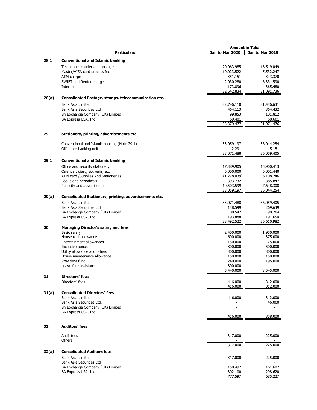|       |                                                                | <b>Amount in Taka</b>    |                         |
|-------|----------------------------------------------------------------|--------------------------|-------------------------|
|       | <b>Particulars</b>                                             | Jan to Mar 2020          | Jan to Mar 2019         |
| 28.1  | <b>Conventional and Islamic banking</b>                        |                          |                         |
|       |                                                                |                          |                         |
|       | Telephone, courier and postage<br>Master/VISA card process fee | 20,063,985<br>10,023,522 | 18,519,049<br>5,532,247 |
|       | ATM charge                                                     | 351,151                  | 343,370                 |
|       | SWIFT and Reuter charge                                        | 2,030,280                | 6,331,590               |
|       | Internet                                                       | 173,896                  | 365,480                 |
|       |                                                                | 32,642,834               | 31,091,736              |
| 28(a) | Consolidated Postage, stamps, telecommunication etc.           |                          |                         |
|       |                                                                |                          |                         |
|       | <b>Bank Asia Limited</b><br>Bank Asia Securities Ltd           | 32,746,110<br>464,113    | 31,436,631<br>364,432   |
|       | BA Exchange Company (UK) Limited                               | 99,853                   | 101,812                 |
|       | BA Express USA, Inc.                                           | 69,401                   | 68,601                  |
|       |                                                                | 33,379,477               | 31,971,476              |
|       |                                                                |                          |                         |
| 29    | Stationery, printing, advertisements etc.                      |                          |                         |
|       | Conventional and Islamic banking (Note 29.1)                   | 33,059,197               | 36,044,254              |
|       | Off-shore banking unit                                         | 12,291                   | 15,151                  |
|       |                                                                | 33,071,488               | 36,059,405              |
| 29.1  | <b>Conventional and Islamic banking</b>                        |                          |                         |
|       | Office and security stationery                                 | 17,389,905               | 15,900,413              |
|       | Calendar, diary, souvenir, etc                                 | 6,000,000                | 6,001,440               |
|       | ATM card /Supplies And Stationeries                            | (1,228,039)              | 6,108,246               |
|       | Books and periodicals                                          | 393,732                  | 385,847                 |
|       | Publicity and advertisement                                    | 10,503,599               | 7,648,308               |
|       |                                                                | 33,059,197               | 36,044,254              |
| 29(a) | Consolidated Stationery, printing, advertisements etc.         |                          |                         |
|       | <b>Bank Asia Limited</b>                                       | 33,071,488               | 36,059,405              |
|       | Bank Asia Securities Ltd                                       | 138,599                  | 269,639                 |
|       | BA Exchange Company (UK) Limited<br>BA Express USA, Inc.       | 88,547<br>193,888        | 90,284<br>191,654       |
|       |                                                                | 33,492,522               | 36,610,982              |
| 30    | <b>Managing Director's salary and fees</b>                     |                          |                         |
|       | Basic salary                                                   | 2,400,000                | 1,950,000               |
|       | House rent allowance                                           | 600,000                  | 375,000                 |
|       | Entertainment allowances                                       | 150,000                  | 75,000                  |
|       | Incentive bonus                                                | 800,000                  | 500,000                 |
|       | Utility allowance and others                                   | 300,000                  | 300,000                 |
|       | House maintenance allowance                                    | 150,000                  | 150,000                 |
|       | Provident fund<br>Leave fare assistance                        | 240,000<br>800,000       | 195,000                 |
|       |                                                                | 5,440,000                | 3,545,000               |
| 31    | Directors' fees                                                |                          |                         |
|       | Directors' fees                                                | 416,000                  | 312,000                 |
|       |                                                                | 416,000                  | 312,000                 |
| 31(a) | <b>Consolidated Directors' fees</b>                            |                          |                         |
|       | <b>Bank Asia Limited</b>                                       | 416,000                  | 312,000                 |
|       | Bank Asia Securities Ltd.                                      |                          | 46,000                  |
|       | BA Exchange Company (UK) Limited                               |                          |                         |
|       | BA Express USA, Inc                                            | 416,000                  | 358,000                 |
|       |                                                                |                          |                         |
| 32    | <b>Auditors' fees</b>                                          |                          |                         |
|       | Audit fees                                                     | 317,000                  | 225,000                 |
|       | <b>Others</b>                                                  | 317,000                  | 225,000                 |
| 32(a) | <b>Consolidated Auditors fees</b>                              |                          |                         |
|       | <b>Bank Asia Limited</b>                                       | 317,000                  | 225,000                 |
|       | Bank Asia Securities Ltd                                       |                          |                         |
|       | BA Exchange Company (UK) Limited                               | 158,497                  | 161,607                 |
|       | BA Express USA, Inc.                                           | 302,100<br>777,597       | 298,620                 |
|       |                                                                |                          | 685,227                 |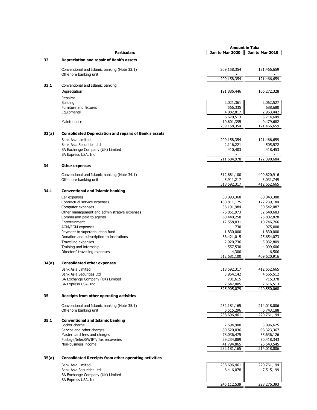|       |                                                                           | <b>Amount in Taka</b>     |                          |
|-------|---------------------------------------------------------------------------|---------------------------|--------------------------|
|       | <b>Particulars</b>                                                        | Jan to Mar 2020           | Jan to Mar 2019          |
| 33    | Depreciation and repair of Bank's assets                                  |                           |                          |
|       | Conventional and Islamic banking (Note 33.1)                              | 209,158,354               | 121,466,659              |
|       | Off-shore banking unit                                                    | 209,158,354               | 121,466,659              |
| 33.1  | Conventional and Islamic banking                                          |                           |                          |
|       | Depreciation                                                              | 191,886,446               | 106,272,328              |
|       | Repairs:                                                                  |                           |                          |
|       | <b>Building</b>                                                           | 2,021,361                 | 2,062,527                |
|       | Furniture and fixtures                                                    | 566,335                   | 688,680                  |
|       | Equipments                                                                | 4,082,817                 | 2,963,442                |
|       |                                                                           | 6,670,513                 | 5,714,649                |
|       | Maintenance                                                               | 10,601,395<br>209,158,354 | 9,479,682<br>121,466,659 |
| 33(a) | <b>Consolidated Depreciation and repairs of Bank's assets</b>             |                           |                          |
|       | Bank Asia Limited                                                         | 209,158,354               | 121,466,659              |
|       | <b>Bank Asia Securities Ltd</b>                                           | 2,116,221                 | 505,572                  |
|       | BA Exchange Company (UK) Limited<br>BA Express USA, Inc                   | 410,403                   | 418,453                  |
|       |                                                                           | 211,684,978               | 122,390,684              |
| 34    | <b>Other expenses</b>                                                     |                           |                          |
|       | Conventional and Islamic banking (Note 34.1)                              | 512,681,100               | 409,620,916              |
|       | Off-shore banking unit                                                    | 5,911,217                 | 3,031,749                |
|       |                                                                           | 518,592,317               | 412,652,665              |
| 34.1  | <b>Conventional and Islamic banking</b>                                   |                           |                          |
|       | Car expenses                                                              | 80,093,368                | 80,043,380               |
|       | Contractual service expenses                                              | 180,811,175               | 172,239,184              |
|       | Computer expenses                                                         | 36,191,984                | 30,542,087               |
|       | Other management and administrative expenses<br>Commission paid to agents | 76,851,973<br>60,440,258  | 52,648,683<br>25,802,828 |
|       | Entertainment                                                             | 12,558,031                | 10,746,766               |
|       | AGM/EGM expenses                                                          | 730                       | 975,000                  |
|       | Payment to superannuation fund                                            | 1,830,000                 | 1,830,000                |
|       | Donation and subscription to institutions                                 | 56,421,015                | 25,654,073               |
|       | Travelling expenses                                                       | 2,920,736                 | 5,032,809                |
|       | Training and internship                                                   | 4,557,530                 | 4,099,606                |
|       | Directors' travelling expenses                                            | 4,300                     | 6,500                    |
|       |                                                                           | 512,681,100               | 409,620,916              |
| 34(a) | <b>Consolidated other expenses</b>                                        |                           |                          |
|       | <b>Bank Asia Limited</b><br>Bank Asia Securities Ltd                      | 518,592,317               | 412,652,665              |
|       | BA Exchange Company (UK) Limited                                          | 3,964,142<br>701,615      | 4,565,512<br>715,378     |
|       | BA Express USA, Inc                                                       | 2,647,005                 | 2,616,513                |
|       |                                                                           | 525,905,079               | 420,550,068              |
| 35    | Receipts from other operating activities                                  |                           |                          |
|       | Conventional and Islamic banking (Note 35.1)                              | 232,181,165               | 214,018,006              |
|       | Off-shore banking unit                                                    | 6,515,296                 | 6,743,188                |
|       |                                                                           | 238,696,461               | 220,761,194              |
| 35.1  | <b>Conventional and Islamic banking</b>                                   |                           | 3,096,625                |
|       | Locker charge<br>Service and other charges                                | 2,594,900<br>80,520,036   | 98,323,367               |
|       | Master card fees and charges                                              | 78,036,475                | 55,636,126               |
|       | Postage/telex/SWIFT/ fax recoveries                                       | 29,234,889                | 30,418,343               |
|       | Non-business income                                                       | 41,794,865                | 26,543,545               |
|       |                                                                           | 232,181,165               | 214,018,006              |
| 35(a) | <b>Consolidated Receipts from other operating activities</b>              |                           |                          |
|       | Bank Asia Limited                                                         | 238,696,461               | 220,761,194              |
|       | Bank Asia Securities Ltd                                                  | 6,416,078                 | 7,515,199                |
|       | BA Exchange Company (UK) Limited                                          |                           |                          |
|       | BA Express USA, Inc                                                       |                           |                          |
|       |                                                                           | 245,112,539               | 228,276,393              |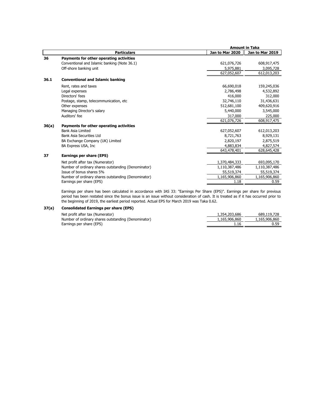|       |                                                     |                 | <b>Amount in Taka</b> |  |
|-------|-----------------------------------------------------|-----------------|-----------------------|--|
|       | <b>Particulars</b>                                  | Jan to Mar 2020 | Jan to Mar 2019       |  |
| 36    | Payments for other operating activities             |                 |                       |  |
|       | Conventional and Islamic banking (Note 36.1)        | 621,076,726     | 608,917,475           |  |
|       | Off-shore banking unit                              | 5,975,881       | 3,095,728             |  |
|       |                                                     | 627,052,607     | 612,013,203           |  |
| 36.1  | <b>Conventional and Islamic banking</b>             |                 |                       |  |
|       | Rent, rates and taxes                               | 66,690,018      | 159,245,036           |  |
|       | Legal expenses                                      | 2,786,498       | 4,532,892             |  |
|       | Directors' fees                                     | 416,000         | 312,000               |  |
|       | Postage, stamp, telecommunication, etc.             | 32,746,110      | 31,436,631            |  |
|       | Other expenses                                      | 512,681,100     | 409,620,916           |  |
|       | Managing Director's salary                          | 5,440,000       | 3,545,000             |  |
|       | Auditors' fee                                       | 317,000         | 225,000               |  |
|       |                                                     | 621,076,726     | 608,917,475           |  |
| 36(a) | Payments for other operating activities             |                 |                       |  |
|       | Bank Asia Limited                                   | 627,052,607     | 612,013,203           |  |
|       | Bank Asia Securities Ltd                            | 8,721,763       | 8,929,131             |  |
|       | BA Exchange Company (UK) Limited                    | 2,820,197       | 2,875,519             |  |
|       | BA Express USA, Inc                                 | 4,883,834       | 4,827,574             |  |
|       |                                                     | 643,478,401     | 628,645,428           |  |
| 37    | Earnings per share (EPS)                            |                 |                       |  |
|       | Net profit after tax (Numerator)                    | 1,370,484,333   | 693,095,170           |  |
|       | Number of ordinary shares outstanding (Denominator) | 1,110,387,486   | 1,110,387,486         |  |
|       | Issue of bonus shares 5%                            | 55,519,374      | 55,519,374            |  |
|       | Number of ordinary shares outstanding (Denominator) | 1,165,906,860   | 1,165,906,860         |  |
|       | Earnings per share (EPS)                            | 1.18            | 0.59                  |  |

Earnings per share has been calculated in accordance with IAS 33: "Earnings Per Share (EPS)". Earnings per share for previous period has been restated since the bonus issue is an issue without consideration of cash. It is treated as if it has occurred prior to the beginning of 2019, the earliest period reported. Actual EPS for March 2019 was Taka 0.62.

# **37(a) Consolidated Earnings per share (EPS)**

| Net profit after tax (Numerator)                    | 1,354,203,686 | 689,119,728   |
|-----------------------------------------------------|---------------|---------------|
| Number of ordinary shares outstanding (Denominator) | 1,165,906,860 | 1,165,906,860 |
| Earnings per share (EPS)                            |               | 0.59          |